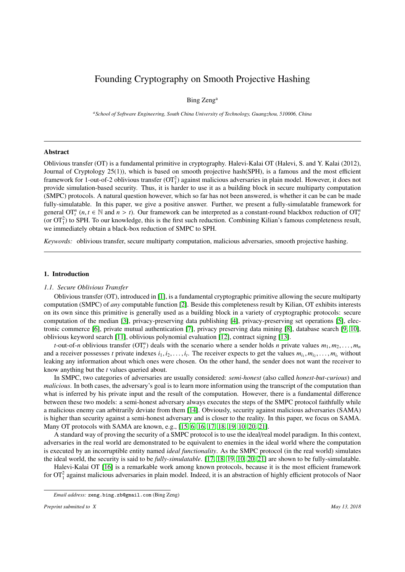# Founding Cryptography on Smooth Projective Hashing

# Bing Zeng<sup>a</sup>

*<sup>a</sup>School of Software Engineering, South China University of Technology, Guangzhou, 510006, China*

#### Abstract

Oblivious transfer (OT) is a fundamental primitive in cryptography. Halevi-Kalai OT (Halevi, S. and Y. Kalai (2012), Journal of Cryptology 25(1)), which is based on smooth projective hash(SPH), is a famous and the most efficient framework for 1-out-of-2 oblivious transfer  $(OT_1^2)$  against malicious adversaries in plain model. However, it does not provide simulation-based security. Thus, it is harder to use it as a building block in secure multiparty computation (SMPC) protocols. A natural question however, which so far has not been answered, is whether it can be can be made fully-simulatable. In this paper, we give a positive answer. Further, we present a fully-simulatable framework for general  $\text{OT}_t^n$   $(n, t \in \mathbb{N}$  and  $n > t)$ . Our framework can be interpreted as a constant-round blackbox reduction of  $\text{OT}_t^n$ <br>(or  $\text{OT}^2$ ) to SPH. To our knowledge, this is the first such reduction. Combining Kilian' (or  $OT_1^2$ ) to SPH. To our knowledge, this is the first such reduction. Combining Kilian's famous completeness result, we immediately obtain a black-box reduction of SMPC to SPH.

*Keywords:* oblivious transfer, secure multiparty computation, malicious adversaries, smooth projective hashing.

# <span id="page-0-0"></span>1. Introduction

#### *1.1. Secure Oblivious Transfer*

Oblivious transfer (OT), introduced in [\[1\]](#page-22-0), is a fundamental cryptographic primitive allowing the secure multiparty computation (SMPC) of *any* computable function [\[2\]](#page-23-0). Beside this completeness result by Kilian, OT exhibits interests on its own since this primitive is generally used as a building block in a variety of cryptographic protocols: secure computation of the median [\[3\]](#page-23-1), privacy-preserving data publishing [\[4\]](#page-23-2), privacy-preserving set operations [\[5\]](#page-23-3), electronic commerce [\[6\]](#page-23-4), private mutual authentication [\[7\]](#page-23-5), privacy preserving data mining [\[8\]](#page-23-6), database search [\[9,](#page-23-7) [10\]](#page-23-8), oblivious keyword search [\[11\]](#page-23-9), oblivious polynomial evaluation [\[12\]](#page-23-10), contract signing [\[13\]](#page-23-11).

*t*-out-of-*n* oblivious transfer  $(OT<sup>n</sup><sub>l</sub>)$  deals with the scenario where a sender holds *n* private values  $m_1, m_2, \ldots, m_n$ <br>a receiver possesses *t* private indexes *i*, *i*, *i* The receiver expects to get the va and a receiver possesses *t* private indexes  $i_1, i_2, \ldots, i_t$ . The receiver expects to get the values  $m_{i_1}, m_{i_2}, \ldots, m_{i_t}$  without leaking any information about which ones were chosen. On the other hand, the sender doe leaking any information about which ones were chosen. On the other hand, the sender does not want the receiver to know anything but the *t* values queried about.

In SMPC, two categories of adversaries are usually considered: *semi-honest* (also called *honest-but-curious*) and *malicious*. In both cases, the adversary's goal is to learn more information using the transcript of the computation than what is inferred by his private input and the result of the computation. However, there is a fundamental difference between these two models: a semi-honest adversary always executes the steps of the SMPC protocol faithfully while a malicious enemy can arbitrarily deviate from them [\[14\]](#page-23-12). Obviously, security against malicious adversaries (SAMA) is higher than security against a semi-honest adversary and is closer to the reality. In this paper, we focus on SAMA. Many OT protocols with SAMA are known, e.g., [\[15,](#page-23-13) [6,](#page-23-4) [16,](#page-23-14) [17,](#page-23-15) [18,](#page-23-16) [19,](#page-23-17) [10,](#page-23-8) [20,](#page-23-18) [21\]](#page-23-19).

A standard way of proving the security of a SMPC protocol is to use the ideal/real model paradigm. In this context, adversaries in the real world are demonstrated to be equivalent to enemies in the ideal world where the computation is executed by an incorruptible entity named *ideal functionality*. As the SMPC protocol (in the real world) simulates the ideal world, the security is said to be *fully-simulatable*. [\[17,](#page-23-15) [18,](#page-23-16) [19,](#page-23-17) [10,](#page-23-8) [20,](#page-23-18) [21\]](#page-23-19) are shown to be fully-simulatable.

Halevi-Kalai OT [\[16\]](#page-23-14) is a remarkable work among known protocols, because it is the most efficient framework for  $OT_1^2$  against malicious adversaries in plain model. Indeed, it is an abstraction of highly efficient protocols of Naor

*Email address:* zeng.bing.zb@gmail.com (Bing Zeng)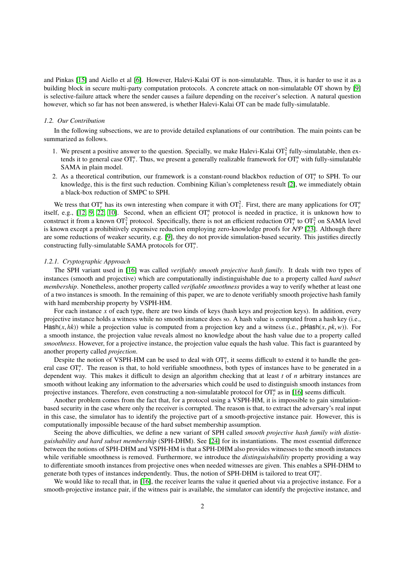and Pinkas [\[15\]](#page-23-13) and Aiello et al [\[6\]](#page-23-4). However, Halevi-Kalai OT is non-simulatable. Thus, it is harder to use it as a building block in secure multi-party computation protocols. A concrete attack on non-simulatable OT shown by [\[9\]](#page-23-7) is selective-failure attack where the sender causes a failure depending on the receiver's selection. A natural question however, which so far has not been answered, is whether Halevi-Kalai OT can be made fully-simulatable.

#### *1.2. Our Contribution*

In the following subsections, we are to provide detailed explanations of our contribution. The main points can be summarized as follows.

- 1. We present a positive answer to the question. Specially, we make Halevi-Kalai  $OT_1^2$  fully-simulatable, then extends it to general case  $OT_t^n$ . Thus, we present a generally realizable framework for  $OT_t^n$  with fully-simulatable SAMA in plain model.
- 2. As a theoretical contribution, our framework is a constant-round blackbox reduction of  $OT<sup>n</sup><sub>t</sub>$  to SPH. To our knowledge, this is the first such reduction. Combining Kilian's completeness result [\[2\]](#page-23-0), we immediately obtain a black-box reduction of SMPC to SPH.

We tress that  $OT_t^n$  has its own interesting when compare it with  $OT_t^2$ . First, there are many applications for  $OT_t^n$ itself, e.g., [\[12,](#page-23-10) [9,](#page-23-7) [22,](#page-23-20) [10\]](#page-23-8). Second, when an efficient  $\sigma T_t^n$  protocol is needed in practice, it is unknown how to construct it from a known  $OT_1^2$  protocol. Specifically, there is not an efficient reduction  $OT_t^n$  to  $OT_1^2$  on SAMA level is known except a prohibitively expensive reduction employing zero-knowledge proofs for  $N \mathcal{P}$  [\[23\]](#page-23-21). Although there are some reductions of weaker security, e.g. [\[9\]](#page-23-7), they do not provide simulation-based security. This justifies directly constructing fully-simulatable SAMA protocols for OT*<sup>n</sup> t* .

#### *1.2.1. Cryptographic Approach*

The SPH variant used in [\[16\]](#page-23-14) was called *verifiably smooth projective hash family*. It deals with two types of instances (smooth and projective) which are computationally indistinguishable due to a property called *hard subset membership*. Nonetheless, another property called *verifiable smoothness* provides a way to verify whether at least one of a two instances is smooth. In the remaining of this paper, we are to denote verifiably smooth projective hash family with hard membership property by VSPH-HM.

For each instance *x* of each type, there are two kinds of keys (hash keys and projection keys). In addition, every projective instance holds a witness while no smooth instance does so. A hash value is computed from a hash key (i.e., Hash( $x$ ,  $hk$ )) while a projection value is computed from a projection key and a witness (i.e., pHash( $x$ ,  $pk$ ,  $w$ )). For a smooth instance, the projection value reveals almost no knowledge about the hash value due to a property called *smoothness*. However, for a projective instance, the projection value equals the hash value. This fact is guaranteed by another property called *projection*.

Despite the notion of VSPH-HM can be used to deal with  $OT_1^n$ , it seems difficult to extend it to handle the general case  $\overline{OT}^n_t$ . The reason is that, to hold verifiable smoothness, both types of instances have to be generated in a dependent way. This makes it difficult to design an algorithm checking that at least *t* of *n* arbitrary instances are smooth without leaking any information to the adversaries which could be used to distinguish smooth instances from projective instances. Therefore, even constructing a non-simulatable protocol for  $OT_t^n$  as in [\[16\]](#page-23-14) seems difficult.

Another problem comes from the fact that, for a protocol using a VSPH-HM, it is impossible to gain simulationbased security in the case where only the receiver is corrupted. The reason is that, to extract the adversary's real input in this case, the simulator has to identify the projective part of a smooth-projective instance pair. However, this is computationally impossible because of the hard subset membership assumption.

Seeing the above difficulties, we define a new variant of SPH called *smooth projective hash family with distinguishability and hard subset membership* (SPH-DHM). See [\[24\]](#page-23-22) for its instantiations. The most essential difference between the notions of SPH-DHM and VSPH-HM is that a SPH-DHM also provides witnesses to the smooth instances while verifiable smoothness is removed. Furthermore, we introduce the *distinguishability* property providing a way to differentiate smooth instances from projective ones when needed witnesses are given. This enables a SPH-DHM to generate both types of instances independently. Thus, the notion of SPH-DHM is tailored to treat OT*<sup>n</sup> t* .

We would like to recall that, in [\[16\]](#page-23-14), the receiver learns the value it queried about via a projective instance. For a smooth-projective instance pair, if the witness pair is available, the simulator can identify the projective instance, and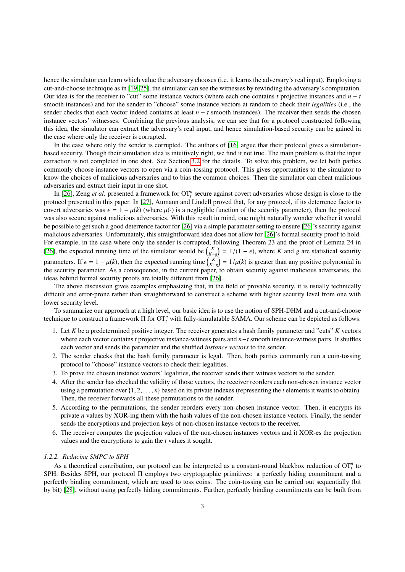hence the simulator can learn which value the adversary chooses (i.e. it learns the adversary's real input). Employing a cut-and-choose technique as in [\[19,](#page-23-17) [25\]](#page-23-23), the simulator can see the witnesses by rewinding the adversary's computation. Our idea is for the receiver to "cut" some instance vectors (where each one contains *t* projective instances and *n* − *t* smooth instances) and for the sender to "choose" some instance vectors at random to check their *legalities* (i.e., the sender checks that each vector indeed contains at least *n* − *t* smooth instances). The receiver then sends the chosen instance vectors' witnesses. Combining the previous analysis, we can see that for a protocol constructed following this idea, the simulator can extract the adversary's real input, and hence simulation-based security can be gained in the case where only the receiver is corrupted.

In the case where only the sender is corrupted. The authors of [\[16\]](#page-23-14) argue that their protocol gives a simulationbased security. Though their simulation idea is intuitively right, we find it not true. The main problem is that the input extraction is not completed in one shot. See Section [3.2](#page-8-0) for the details. To solve this problem, we let both parties commonly choose instance vectors to open via a coin-tossing protocol. This gives opportunities to the simulator to know the choices of malicious adversaries and to bias the common choices. Then the simulator can cheat malicious adversaries and extract their input in one shot.

In [\[26\]](#page-23-24), Zeng *et al.* presented a framework for  $OT_t^n$  secure against covert adversaries whose design is close to the protocol presented in this paper. In [\[27\]](#page-23-25), Aumann and Lindell proved that, for any protocol, if its deterrence factor to covert adversaries was  $\epsilon = 1 - \mu(k)$  (where  $\mu(\cdot)$  is a negligible function of the security parameter), then the protocol was also secure against malicious adversaries. With this result in mind, one might naturally wonder whether it would be possible to get such a good deterrence factor for [\[26\]](#page-23-24) via a simple parameter setting to ensure [\[26\]](#page-23-24)'s security against malicious adversaries. Unfortunately, this straightforward idea does not allow for [\[26\]](#page-23-24)'s formal security proof to hold. For example, in the case where only the sender is corrupted, following Theorem 23 and the proof of Lemma 24 in [\[26\]](#page-23-24), the expected running time of the simulator would be  $\binom{K}{K-2} = 1/(1-\epsilon)$ , where *K* and *g* are statistical security parameters. If  $\epsilon = 1 - \mu(k)$ , then the expected running time  $\binom{K}{k-g} = 1/\mu(k)$  is greater than any positive polynomial in the security parameter. As a consequence, in the current paper to obtain security against malicious the security parameter. As a consequence, in the current paper, to obtain security against malicious adversaries, the ideas behind formal security proofs are totally different from [\[26\]](#page-23-24).

The above discussion gives examples emphasizing that, in the field of provable security, it is usually technically difficult and error-prone rather than straightforward to construct a scheme with higher security level from one with lower security level.

To summarize our approach at a high level, our basic idea is to use the notion of SPH-DHM and a cut-and-choose technique to construct a framework  $\Pi$  for  $OT_t^n$  with fully-simulatable SAMA. Our scheme can be depicted as follows:

- 1. Let *K* be a predetermined positive integer. The receiver generates a hash family parameter and "cuts" *K* vectors where each vector contains *t* projective instance-witness pairs and *n*−*t* smooth instance-witness pairs. It shuffles each vector and sends the parameter and the shuffled *instance vectors* to the sender.
- 2. The sender checks that the hash family parameter is legal. Then, both parties commonly run a coin-tossing protocol to "choose" instance vectors to check their legalities.
- 3. To prove the chosen instance vectors' legalities, the receiver sends their witness vectors to the sender.
- 4. After the sender has checked the validity of those vectors, the receiver reorders each non-chosen instance vector using a permutation over {1, <sup>2</sup>, . . . , *<sup>n</sup>*} based on its private indexes (representing the *<sup>t</sup>* elements it wants to obtain). Then, the receiver forwards all these permutations to the sender.
- 5. According to the permutations, the sender reorders every non-chosen instance vector. Then, it encrypts its private *n* values by XOR-ing them with the hash values of the non-chosen instance vectors. Finally, the sender sends the encryptions and projection keys of non-chosen instance vectors to the receiver.
- 6. The receiver computes the projection values of the non-chosen instances vectors and it XOR-es the projection values and the encryptions to gain the *t* values it sought.

## *1.2.2. Reducing SMPC to SPH*

As a theoretical contribution, our protocol can be interpreted as a constant-round blackbox reduction of  $OT<sup>n</sup><sub>t</sub>$  to SPH. Besides SPH, our protocol Π employs two cryptographic primitives: a perfectly hiding commitment and a perfectly binding commitment, which are used to toss coins. The coin-tossing can be carried out sequentially (bit by bit) [\[28\]](#page-23-26), without using perfectly hiding commitments. Further, perfectly binding commitments can be built from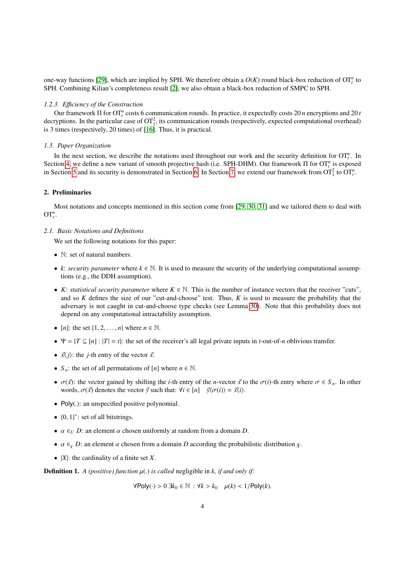one-way functions [\[29\]](#page-23-27), which are implied by SPH. We therefore obtain a  $O(K)$  round black-box reduction of  $OT_t^n$  to SPH. Combining Kilian's completeness result [\[2\]](#page-23-0), we also obtain a black-box reduction of SMPC to SPH.

#### *1.2.3. E*ffi*ciency of the Construction*

Our framework Π for OT*<sup>n</sup> t* costs 6 communication rounds. In practice, it expectedly costs 20 *n* encryptions and 20 *t* decryptions. In the particular case of  $OT_1^2$ , its communication rounds (respectively, expected computational overhead) is 3 times (respectively, 20 times) of [\[16\]](#page-23-14). Thus, it is practical.

# *1.3. Paper Organization*

In the next section, we describe the notations used throughout our work and the security definition for  $OT_t^n$ . In Section [4,](#page-9-0) we define a new variant of smooth projective hash (i.e. SPH-DHM). Our framework Π for OT<sup>*n*</sup> is exposed in Section [5](#page-11-0) and its security is demonstrated in Section [6.](#page-14-0) In Section [7,](#page-22-1) we extend our framework from  $\text{OT}_1^2$  to  $\text{OT}_t^n$ .

## 2. Preliminaries

Most notations and concepts mentioned in this section come from [\[29,](#page-23-27) [30,](#page-23-28) [31\]](#page-23-29) and we tailored them to deal with  $\mathbf{O}\mathbf{T}_{t}^{n}$ .

## *2.1. Basic Notations and Definitions*

We set the following notations for this paper:

- N: set of natural numbers.
- *k*: *security parameter* where  $k \in \mathbb{N}$ . It is used to measure the security of the underlying computational assumptions (e.g., the DDH assumption).
- *K*: *statistical security parameter* where  $K \in \mathbb{N}$ . This is the number of instance vectors that the receiver "cuts", and so *K* defines the size of our "cut-and-choose" test. Thus, *K* is used to measure the probability that the adversary is not caught in cut-and-choose type checks (see Lemma [30\)](#page-13-0). Note that this probability does not depend on any computational intractability assumption.
- $[n]$ : the set  $\{1, 2, \ldots, n\}$  where  $n \in \mathbb{N}$ .
- $\Psi = \{T \subseteq [n] : |T| = t\}$ : the set of the receiver's all legal private inputs in *t*-out-of-*n* oblivious transfer.
- $\vec{x}(i)$ : the *j*-th entry of the vector  $\vec{x}$ .
- $S_n$ : the set of all permutations of [*n*] where  $n \in \mathbb{N}$ .
- $\sigma(\vec{x})$ : the vector gained by shifting the *i*-th entry of the *n*-vector  $\vec{x}$  to the  $\sigma(i)$ -th entry where  $\sigma \in S_n$ . In other words,  $\sigma(\vec{x})$  denotes the vector  $\vec{y}$  such that:  $\forall i \in [n]$   $\vec{y}\langle\sigma(i)\rangle = \vec{x}\langle i\rangle$ .
- Poly(.): an unspecified positive polynomial.
- $\{0, 1\}^*$ : set of all bitstrings.
- $\alpha \in U$  *D*: an element  $\alpha$  chosen uniformly at random from a domain *D*.
- $\alpha \in Y$  *D*: an element  $\alpha$  chosen from a domain *D* according the probabilistic distribution  $\chi$ .
- |*X*|: the cardinality of a finite set *X*.

**Definition 1.** *A (positive) function*  $\mu$ (*.) is called* negligible in *k, if and only if:* 

<sup>∀</sup>Poly(·) <sup>&</sup>gt; <sup>0</sup> <sup>∃</sup>*k*<sup>0</sup> <sup>∈</sup> <sup>N</sup> : <sup>∀</sup>*<sup>k</sup>* <sup>&</sup>gt; *<sup>k</sup>*<sup>0</sup> <sup>µ</sup>(*k*) <sup>&</sup>lt; <sup>1</sup>/Poly(*k*).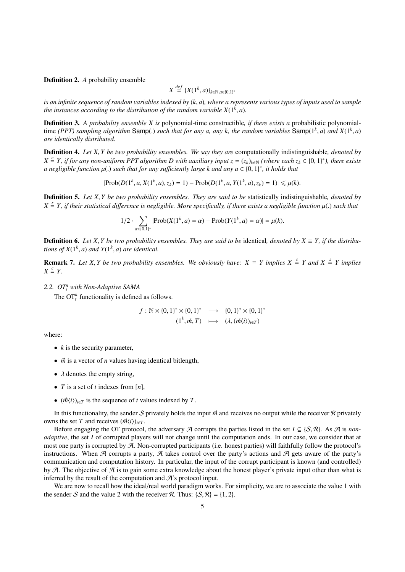Definition 2. *A* probability ensemble

$$
X \stackrel{def}{=} \{X(1^k, a)\}_{k \in \mathbb{N}, a \in \{0,1\}^*}
$$

*is an infinite sequence of random variables indexed by* (*k*, *<sup>a</sup>*)*, where a represents various types of inputs used to sample the instances according to the distribution of the random variable*  $X(1^k, a)$ *.* 

Definition 3. *A probability ensemble X is* polynomial-time constructible*, if there exists a* probabilistic polynomialtime *(PPT)* sampling algorithm Samp(.) such that for any a, any k, the random variables Samp( $1^k$ , *a*) and  $X(1^k, a)$ <br>are identically distributed *are identically distributed.*

Definition 4. *Let X*, *Y be two probability ensembles. We say they are* computationally indistinguishable*, denoted by*  $X \triangleq Y$ , if for any non-uniform PPT algorithm D with auxiliary input  $z = (z_k)_{k \in \mathbb{N}}$  (where each  $z_k \in \{0, 1\}^*$ ), there exists<br>a negligible function  $u(x)$  such that for any sufficiently large k and any  $a \in \{0, 1\}^*$  $a$  negligible function  $\mu(.)$  such that for any sufficiently large k and any  $a \in \{0,1\}^*$ , it holds that

$$
|\text{Prob}(D(1^k, a, X(1^k, a), z_k) = 1) - \text{Prob}(D(1^k, a, Y(1^k, a), z_k) = 1)| \leq \mu(k).
$$

Definition 5. *Let X*, *Y be two probability ensembles. They are said to be* statistically indistinguishable*, denoted by*  $X \stackrel{s}{=} Y$ , if their statistical difference is negligible. More specifically, if there exists a negligible function  $\mu(.)$  such that

$$
1/2 \cdot \sum_{\alpha \in \{0,1\}^*} |\text{Prob}(X(1^k, a) = \alpha) - \text{Prob}(Y(1^k, a) = \alpha)| = \mu(k).
$$

**Definition 6.** Let X, *Y* be two probability ensembles. They are said to be identical, denoted by  $X \equiv Y$ , if the distribu*tions of*  $X(1^k, a)$  *and*  $Y(1^k, a)$  *are identical.* 

**Remark 7.** *Let X*, *Y be two probability ensembles. We obviously have:*  $X \equiv Y$  *implies*  $X \stackrel{s}{=} Y$  *and*  $X \stackrel{s}{=} Y$  *implies*  $Y \stackrel{s}{=} Y$  $X \stackrel{c}{=} Y$ .

*2.2. OT<sup>n</sup> <sup>t</sup> with Non-Adaptive SAMA*

The  $\mathrm{OT}_t^n$  functionality is defined as follows.

$$
f: \mathbb{N} \times \{0, 1\}^* \times \{0, 1\}^* \longrightarrow \{0, 1\}^* \times \{0, 1\}^* (1^k, \vec{m}, T) \longrightarrow (\lambda, (\vec{m}\langle i \rangle)_{i \in T})
$$

where:

- $k$  is the security parameter,
- *m*<sup> $\dot{m}$ </sup> is a vector of *n* values having identical bitlength,
- $\lambda$  denotes the empty string,
- *T* is a set of *t* indexes from [*n*],
- $(\vec{m}\langle i \rangle)_{i \in \mathcal{T}}$  is the sequence of *t* values indexed by *T*.

In this functionality, the sender S privately holds the input  $\vec{m}$  and receives no output while the receiver R privately owns the set *T* and receives  $(\vec{m} \langle i \rangle)_{i \in T}$ .

Before engaging the OT protocol, the adversary  $\mathcal A$  corrupts the parties listed in the set  $I \subseteq \{S, \mathcal R\}$ . As  $\mathcal A$  is *nonadaptive*, the set *I* of corrupted players will not change until the computation ends. In our case, we consider that at most one party is corrupted by A. Non-corrupted participants (i.e. honest parties) will faithfully follow the protocol's instructions. When A corrupts a party, A takes control over the party's actions and A gets aware of the party's communication and computation history. In particular, the input of the corrupt participant is known (and controlled) by  $A$ . The objective of  $A$  is to gain some extra knowledge about the honest player's private input other than what is inferred by the result of the computation and  $\mathcal{A}$ 's protocol input.

We are now to recall how the ideal/real world paradigm works. For simplicity, we are to associate the value 1 with the sender S and the value 2 with the receiver R. Thus:  $\{S, \mathcal{R}\} = \{1, 2\}$ .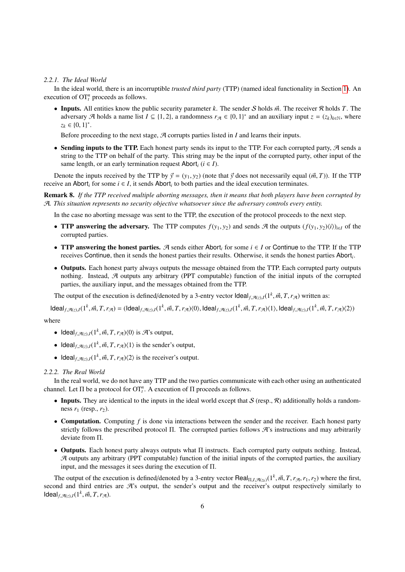#### *2.2.1. The Ideal World*

In the ideal world, there is an incorruptible *trusted third party* (TTP) (named ideal functionality in Section [1\)](#page-0-0). An execution of  $\mathbf{OT}_t^n$  proceeds as follows.

• Inputs. All entities know the public security parameter *k*. The sender *S* holds  $\vec{m}$ . The receiver  $\Re$  holds *T*. The adversary  $\mathcal{A}$  holds a name list  $I \subseteq \{1, 2\}$ , a randomness  $r_{\mathcal{A}} \in \{0, 1\}^*$  and an auxiliary input  $z = (z_k)_{k \in \mathbb{N}}$ , where  $z_k \in \{0, 1\}^*$ .

Before proceeding to the next stage,  $A$  corrupts parties listed in  $I$  and learns their inputs.

• Sending inputs to the TTP. Each honest party sends its input to the TTP. For each corrupted party,  $\mathcal A$  sends a string to the TTP on behalf of the party. This string may be the input of the corrupted party, other input of the same length, or an early termination request Abort<sub>*i*</sub> ( $i \in I$ ).

Denote the inputs received by the TTP by  $\vec{y} = (y_1, y_2)$  (note that  $\vec{y}$  does not necessarily equal  $(\vec{m}, T)$ ). If the TTP receive an Abort<sub>*i*</sub> for some  $i \in I$ , it sends Abort<sub>*i*</sub> to both parties and the ideal execution terminates.

Remark 8. *If the TTP received multiple aborting messages, then it means that both players have been corrupted by* A*. This situation represents no security objective whatsoever since the adversary controls every entity.*

In the case no aborting message was sent to the TTP, the execution of the protocol proceeds to the next step.

- **TTP answering the adversary.** The TTP computes  $f(y_1, y_2)$  and sends A the outputs  $(f(y_1, y_2)\langle i\rangle)_{i\in I}$  of the corrupted parties.
- TTP answering the honest parties. A sends either Abort*<sup>i</sup>* for some *i* ∈ *I* or Continue to the TTP. If the TTP receives Continue, then it sends the honest parties their results. Otherwise, it sends the honest parties Abort*<sup>i</sup>* .
- Outputs. Each honest party always outputs the message obtained from the TTP. Each corrupted party outputs nothing. Instead, A outputs any arbitrary (PPT computable) function of the initial inputs of the corrupted parties, the auxiliary input, and the messages obtained from the TTP.

The output of the execution is defined/denoted by a 3-entry vector  $\text{Ideal}_{f, \mathcal{A}(z), I}(1^k, \vec{m}, T, r_{\mathcal{A}})$  written as:

 $\mathsf{Ideal}_{f, \mathcal{A}(z), I}(1^k, \vec{m}, T, r_{\mathcal{A}}) = (\mathsf{Ideal}_{f, \mathcal{A}(z), I}(1^k, \vec{m}, T, r_{\mathcal{A}}) \langle 0 \rangle, \mathsf{Ideal}_{f, \mathcal{A}(z), I}(1^k, \vec{m}, T, r_{\mathcal{A}}) \langle 1 \rangle, \mathsf{Ideal}_{f, \mathcal{A}(z), I}(1^k, \vec{m}, T, r_{\mathcal{A}}) \langle 2 \rangle)$ 

where

- Ideal<sub>f, $\mathcal{A}(z), I(1^k, \vec{m}, T, r_{\mathcal{A}})(0)$  is  $\mathcal{A}$ 's output,</sub>
- Ideal<sub>*f*</sub>, $\pi(z)$ ,*I*(1<sup>*k*</sup>, $\vec{m}$ , *T*,  $r_{\pi}$ )(1) is the sender's output,
- Ideal<sub>f, $\mathcal{A}(z), I(1^k, \vec{m}, T, r_{\mathcal{A}})$  is the receiver's output.</sub>

### *2.2.2. The Real World*

In the real world, we do not have any TTP and the two parties communicate with each other using an authenticated channel. Let  $\Pi$  be a protocol for  $OT_t^n$ . A execution of  $\Pi$  proceeds as follows.

- Inputs. They are identical to the inputs in the ideal world except that  $S$  (resp.,  $\mathcal R$ ) additionally holds a randomness  $r_1$  (resp.,  $r_2$ ).
- **Computation.** Computing f is done via interactions between the sender and the receiver. Each honest party strictly follows the prescribed protocol Π. The corrupted parties follows A's instructions and may arbitrarily deviate from Π.
- Outputs. Each honest party always outputs what  $\Pi$  instructs. Each corrupted party outputs nothing. Instead,  $A$  outputs any arbitrary (PPT computable) function of the initial inputs of the corrupted parties, the auxiliary input, and the messages it sees during the execution of Π.

The output of the execution is defined/denoted by a 3-entry vector Real<sub>Π,*I*, $\mathcal{A}(z_k)$  (1<sup>k</sup>,  $\vec{m}$ , *T*,  $r_{\mathcal{A}}$ ,  $r_1$ ,  $r_2$ ) where the first,</sub> second and third entries are  $\mathcal{A}$ 's output, the sender's output and the receiver's output respectively similarly to  $\text{Ideal}_{f, \mathcal{A}(z), I}(1^k, \vec{m}, T, r_{\mathcal{A}}).$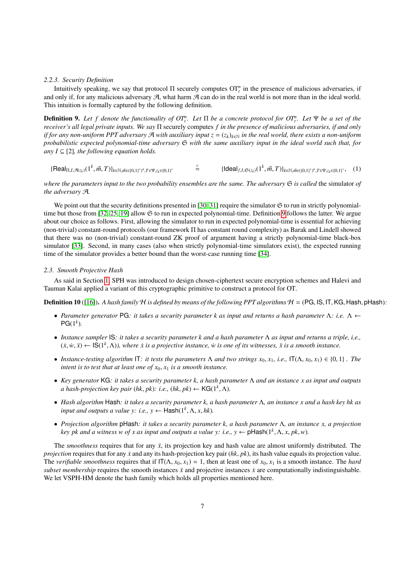#### *2.2.3. Security Definition*

Intuitively speaking, we say that protocol  $\Pi$  securely computes  $\mathrm{OT}_t^n$  in the presence of malicious adversaries, if and only if, for any malicious adversary  $A$ , what harm  $A$  can do in the real world is not more than in the ideal world. This intuition is formally captured by the following definition.

<span id="page-6-0"></span>**Definition 9.** Let f denote the functionality of  $OT_t^n$ . Let  $\Pi$  be a concrete protocol for  $OT_t^n$ . Let  $\Psi$  be a set of the *receiver's all legal private inputs. We say* Π securely computes *f in the presence of malicious adversaries, if and only if for any non-uniform PPT adversary*  $\mathcal A$  *with auxiliary input*  $z = (z_k)_{k \in \mathbb N}$  *in the real world, there exists a non-uniform probabilistic expected polynomial-time adversary* S *with the same auxiliary input in the ideal world such that, for any I*  $\subseteq$  [2]*, the following equation holds.* 

<span id="page-6-1"></span>
$$
\{\text{Real}_{\Pi,I,\mathcal{A}(z_k)}(1^k,\vec{m},T)\}_{k\in\mathbb{N},\vec{m}\in((0,1)^*)^n,T\in\Psi,z_k\in(0,1)^*}\qquad \overset{c}{=}\qquad \{\text{Ideal}_{f,I,\mathfrak{S}(z_k)}(1^k,\vec{m},T)\}_{k\in\mathbb{N},\vec{m}\in((0,1)^*)^n,T\in\Psi,z_k\in(0,1)^*},\quad(1)\}
$$

*where the parameters input to the two probability ensembles are the same. The adversary*  $\Im$  *is called* the simulator of *the adversary* A*.*

We point out that the security definitions presented in [\[30,](#page-23-28) [31\]](#page-23-29) require the simulator  $\Im$  to run in strictly polynomialtime but those from [\[32,](#page-23-30) [25,](#page-23-23) [19\]](#page-23-17) allow S to run in expected polynomial-time. Definition [9](#page-6-0) follows the latter. We argue about our choice as follows. First, allowing the simulator to run in expected polynomial-time is essential for achieving (non-trivial) constant-round protocols (our framework Π has constant round complexity) as Barak and Lindell showed that there was no (non-trivial) constant-round ZK proof of argument having a strictly polynomial-time black-box simulator [\[33\]](#page-23-31). Second, in many cases (also when strictly polynomial-time simulators exist), the expected running time of the simulator provides a better bound than the worst-case running time [\[34\]](#page-23-32).

#### *2.3. Smooth Projective Hash*

As said in Section [1,](#page-0-0) SPH was introduced to design chosen-ciphertext secure encryption schemes and Halevi and Tauman Kalai applied a variant of this cryptographic primitive to construct a protocol for OT.

**Definition 10** ([\[16\]](#page-23-14)). A hash family  $H$  is defined by means of the following PPT algorithms  $H = (PG, IS, IT, KG, Hash, pHash)$ :

- *Parameter generator* PG*: it takes a security parameter k as input and returns a hash parameter* Λ*: i.e.* Λ ←  $PG(1^k)$ .
- *Instance sampler* IS*: it takes a security parameter k and a hash parameter* Λ *as input and returns a triple, i.e.,*  $(x, w, \ddot{x}) \leftarrow \mathsf{IS}(1^k, \Lambda)$ , where  $\dot{x}$  is a projective instance,  $\dot{w}$  is one of its witnesses,  $\ddot{x}$  is a smooth instance.
- *Instance-testing algorithm* IT: *it tests the parameters*  $\Lambda$  *and two strings*  $x_0, x_1, i.e., \Pi(\Lambda, x_0, x_1) \in \{0, 1\}$ . The *intent is to test that at least one of*  $x_0$ ,  $x_1$  *is a smooth instance.*
- *Key generator* KG*: it takes a security parameter k, a hash parameter* Λ *and an instance x as input and outputs a hash-projection key pair* (*hk*, *pk*): *i.e.*, (*hk*, *pk*) ← KG( $1^k$ ,  $\Lambda$ ).
- *Hash algorithm* Hash*: it takes a security parameter k, a hash parameter* Λ*, an instance x and a hash key hk as input and outputs a value y: i.e.*,  $y \leftarrow$   $\text{Hash}(1^k, \Lambda, x, hk)$ .
- *Projection algorithm* pHash*: it takes a security parameter k, a hash parameter* Λ*, an instance x, a projection key pk and a witness w of x as input and outputs a value y: i.e.,*  $y \leftarrow \text{pHash}(1^k, \Lambda, x, pk, w)$ *.*

The *smoothness* requires that for any  $\ddot{x}$ , its projection key and hash value are almost uniformly distributed. The *projection* requires that for any *x* and any its hash-projection key pair (*hk*, *pk*), its hash value equals its projection value. The *verifiable smoothness* requires that if  $IT(\Lambda, x_0, x_1) = 1$ , then at least one of  $x_0, x_1$  is a smooth instance. The *hard subset membership* requires the smooth instances  $\ddot{x}$  and projective instances  $\dot{x}$  are computationally indistinguishable. We let VSPH-HM denote the hash family which holds all properties mentioned here.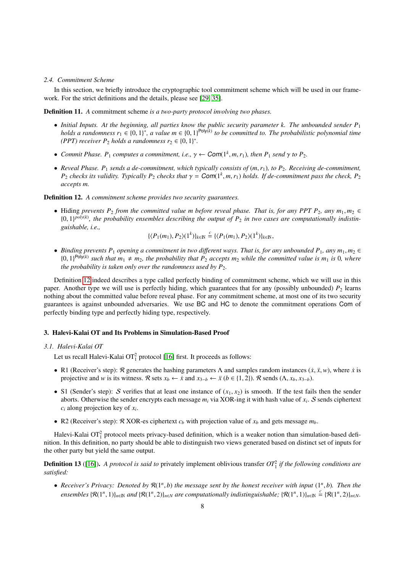#### *2.4. Commitment Scheme*

In this section, we briefly introduce the cryptographic tool commitment scheme which will be used in our framework. For the strict definitions and the details, please see [\[29,](#page-23-27) [35\]](#page-23-33).

Definition 11. *A* commitment scheme *is a two-party protocol involving two phases.*

- *Initial Inputs. At the beginning, all parties know the public security parameter k. The unbounded sender P*<sup>1</sup> *holds a randomness*  $r_1 \in \{0, 1\}^*$ , a value  $m \in \{0, 1\}^{Poly(k)}$  to be committed to. The probabilistic polynomial time<br>(PPT) receiver P<sub>2</sub> holds a randomness  $r_2 \in \{0, 1\}^*$ *(PPT) receiver*  $P_2$  *holds a randomness*  $r_2 \in \{0, 1\}^*$ .
- *Commit Phase.*  $P_1$  *computes a commitment, i.e.,*  $\gamma \leftarrow \text{Com}(1^k, m, r_1)$ *, then*  $P_1$  *send*  $\gamma$  *to*  $P_2$ *.*
- *Reveal Phase. P*<sup>1</sup> *sends a de-commitment, which typically consists of* (*m*,*r*1)*, to P*2*. Receiving de-commitment, P*<sub>2</sub> *checks its validity. Typically P*<sub>2</sub> *checks that*  $\gamma = \text{Com}(1^k, m, r_1)$  *holds. If de-commitment pass the check, P*<sub>2</sub> *accents m accepts m.*

## <span id="page-7-0"></span>Definition 12. *A commitment scheme provides two security guarantees.*

• Hiding *prevents*  $P_2$  *from the committed value m before reveal phase. That is, for any PPT*  $P_2$ *, any*  $m_1, m_2 \in$  ${0,1}^{poly(k)}$ , the probability ensembles describing the output of  $P_2$  in two cases are computationally indistin-<br>quishable i.e *guishable, i.e.,*

 $\{(P_1(m_1), P_2)(1^k)\}_{k\in\mathbb{N}} \stackrel{c}{=} \{(P_1(m_1), P_2)(1^k)\}_{k\in\mathbb{N}},$ 

• *Binding prevents P*<sub>1</sub> *opening a commitment in two different ways. That is, for any unbounded P*<sub>1</sub>*, any*  $m_1, m_2 \in$  $\{0, 1\}^{\text{Poly}(k)}$  such that  $m_1 \neq m_2$ , the probability that  $P_2$  accepts  $m_2$  while the committed value is  $m_1$  is 0*, where*<br>the probability is taken only over the randomness used by P<sub>2</sub>. *the probability is taken only over the randomness used by*  $P_2$ *.* 

Definition [12](#page-7-0) indeed describes a type called perfectly binding of commitment scheme, which we will use in this paper. Another type we will use is perfectly hiding, which guarantees that for any (possibly unbounded)  $P_2$  learns nothing about the committed value before reveal phase. For any commitment scheme, at most one of its two security guarantees is against unbounded adversaries. We use BC and HC to denote the commitment operations Com of perfectly binding type and perfectly hiding type, respectively.

# 3. Halevi-Kalai OT and Its Problems in Simulation-Based Proof

## *3.1. Halevi-Kalai OT*

Let us recall Halevi-Kalai  $\text{OT}_1^2$  protocol [\[16\]](#page-23-14) first. It proceeds as follows:

- R1 (Receiver's step):  $\Re$  generates the hashing parameters  $\Lambda$  and samples random instances  $(\dot{x}, \ddot{x}, w)$ , where  $\dot{x}$  is projective and *w* is its witness. R sets  $x_b \leftarrow \dot{x}$  and  $x_{3-b} \leftarrow \ddot{x}$  ( $b \in \{1, 2\}$ ). R sends ( $\Lambda, x_b, x_{3-b}$ ).
- S1 (Sender's step): S verifies that at least one instance of  $(x_1, x_2)$  is smooth. If the test fails then the sender aborts. Otherwise the sender encrypts each message *m<sup>i</sup>* via XOR-ing it with hash value of *x<sup>i</sup>* . S sends ciphertext *c<sup>i</sup>* along projection key of *x<sup>i</sup>* .
- R2 (Receiver's step):  $\mathcal{R}$  XOR-es ciphertext  $c_b$  with projection value of  $x_b$  and gets message  $m_b$ .

Halevi-Kalai  $OT_1^2$  protocol meets privacy-based definition, which is a weaker notion than simulation-based definition. In this definition, no party should be able to distinguish two views generated based on distinct set of inputs for the other party but yield the same output.

<span id="page-7-1"></span>**Definition 13** ([\[16\]](#page-23-14)). A protocol is said to privately implement oblivious transfer  $OT_1^2$  if the following conditions are *satisfied:*

• *Receiver's Privacy: Denoted by*  $\mathcal{R}(1^n, b)$  *the message sent by the honest receiver with input*  $(1^n, b)$ *. Then the*<br>*cuscumbles*  $(\mathcal{P}(1^n, 1))$  *cud*  $(\mathcal{P}(1^n, 2))$  *cus computationally indictinguishables*  $(\mathcal{P}(1$ *ensembles*  $\{\mathcal{R}(1^n, 1)\}_{n \in \mathbb{N}}$  *and*  $\{\mathcal{R}(1^n, 2)\}_{n \in \mathbb{N}}$  *are computationally indistinguishable;*  $\{\mathcal{R}(1^n, 1)\}_{n \in \mathbb{N}} \stackrel{c}{=} \{\mathcal{R}(1^n, 2)\}_{n \in \mathbb{N}}$ *.*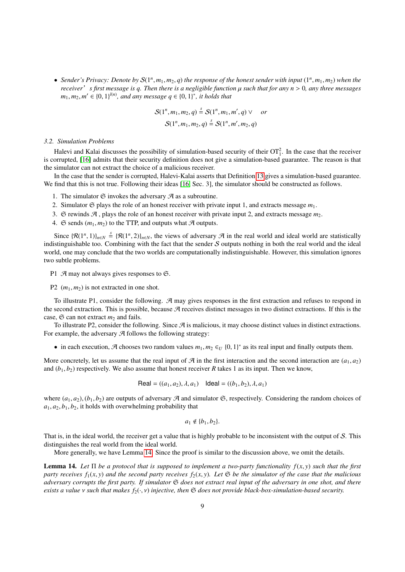• *Sender's Privacy: Denote by*  $S(1^n, m_1, m_2, q)$  *the response of the honest sender with input*  $(1^n, m_1, m_2)$  *when the receiver' s* first message is a *Then there* is a negligible function u such that for any  $n > 0$  *receiver*.*s first message is q. Then there is a negligible function* µ *such that for any n* > <sup>0</sup>*, any three messages m*<sub>1</sub>*, m*<sub>2</sub>*, m*<sup> $\prime$ </sup> ∈ {0*,* 1}<sup> $l(n)$ </sup>*, and any message q* ∈ {0*,* 1}<sup>\*</sup>*, it holds that* 

$$
S(1^n, m_1, m_2, q) \stackrel{s}{=} S(1^n, m_1, m', q) \vee \quad or
$$

$$
\mathcal{S}(1^n, m_1, m_2, q) \stackrel{s}{=} \mathcal{S}(1^n, m', m_2, q)
$$

## <span id="page-8-0"></span>*3.2. Simulation Problems*

Halevi and Kalai discusses the possibility of simulation-based security of their  $OT_1^2$ . In the case that the receiver is corrupted, [\[16\]](#page-23-14) admits that their security definition does not give a simulation-based guarantee. The reason is that the simulator can not extract the choice of a malicious receiver.

In the case that the sender is corrupted, Halevi-Kalai asserts that Definition [13](#page-7-1) gives a simulation-based guarantee. We find that this is not true. Following their ideas [\[16,](#page-23-14) Sec. 3], the simulator should be constructed as follows.

- 1. The simulator  $\mathfrak S$  invokes the adversary  $\mathcal A$  as a subroutine.
- 2. Simulator  $\mathfrak S$  plays the role of an honest receiver with private input 1, and extracts message  $m_1$ .
- 3.  $\Im$  rewinds  $\mathcal{A}$ , plays the role of an honest receiver with private input 2, and extracts message  $m_2$ .
- 4.  $\Im$  sends  $(m_1, m_2)$  to the TTP, and outputs what  $\Im$  outputs.

Since  $\{R(1^n, 1)\}_{n \in \mathbb{N}} \stackrel{s}{=} \{R(1^n, 2)\}_{n \in \mathbb{N}}$ , the views of adversary  $\mathcal{A}$  in the real world and ideal world are statistically stinguishable too. Combining with the fact that the sender S outputs nothing in b indistinguishable too. Combining with the fact that the sender  $S$  outputs nothing in both the real world and the ideal world, one may conclude that the two worlds are computationally indistinguishable. However, this simulation ignores two subtle problems.

P1  $\mathcal{A}$  may not always gives responses to  $\mathfrak{S}$ .

P2  $(m_1, m_2)$  is not extracted in one shot.

To illustrate P1, consider the following.  $A$  may gives responses in the first extraction and refuses to respond in the second extraction. This is possible, because  $\mathcal A$  receives distinct messages in two distinct extractions. If this is the case,  $\mathfrak S$  can not extract  $m_2$  and fails.

To illustrate P2, consider the following. Since  $\mathcal A$  is malicious, it may choose distinct values in distinct extractions. For example, the adversary  $\mathcal A$  follows the following strategy:

• in each execution,  $\mathcal A$  chooses two random values  $m_1, m_2 \in U \{0, 1\}^*$  as its real input and finally outputs them.

More concretely, let us assume that the real input of  $\mathcal{A}$  in the first interaction and the second interaction are  $(a_1, a_2)$ and  $(b_1, b_2)$  respectively. We also assume that honest receiver *R* takes 1 as its input. Then we know,

Real = 
$$
((a_1, a_2), \lambda, a_1)
$$
 Ideal =  $((b_1, b_2), \lambda, a_1)$ 

where  $(a_1, a_2)$ ,  $(b_1, b_2)$  are outputs of adversary A and simulator G, respectively. Considering the random choices of  $a_1, a_2, b_1, b_2$ , it holds with overwhelming probability that

$$
a_1 \notin \{b_1, b_2\}.
$$

That is, in the ideal world, the receiver get a value that is highly probable to be inconsistent with the output of S. This distinguishes the real world from the ideal world.

More generally, we have Lemma [14.](#page-8-1) Since the proof is similar to the discussion above, we omit the details.

<span id="page-8-1"></span>**Lemma 14.** Let  $\Pi$  be a protocol that is supposed to implement a two-party functionality  $f(x, y)$  such that the first *party receives*  $f_1(x, y)$  *and the second party receives*  $f_2(x, y)$ *. Let*  $\mathfrak{S}$  *be the simulator of the case that the malicious adversary corrupts the first party. If simulator* S *does not extract real input of the adversary in one shot, and there exists a value* ν *such that makes f*2(·, ν) *injective, then* <sup>S</sup> *does not provide black-box-simulation-based security.*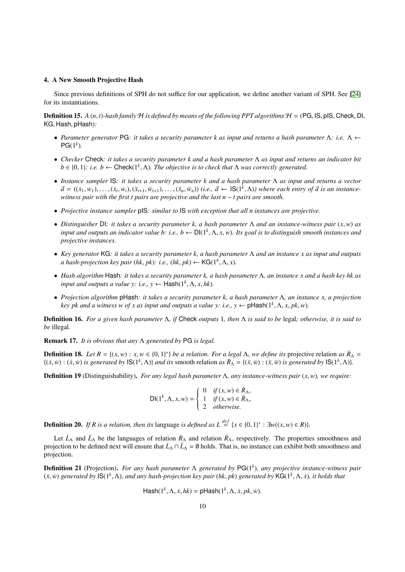## <span id="page-9-0"></span>4. A New Smooth Projective Hash

Since previous definitions of SPH do not suffice for our application, we define another variant of SPH. See [\[24\]](#page-23-22) for its instantiations.

**Definition 15.**  $A(n, t)$ -hash family  $H$  is defined by means of the following PPT algorithms  $H = (PG, IS, DIS, Check, DI, P)$ KG, Hash, pHash)*:*

- *Parameter generator* PG*: it takes a security parameter k as input and returns a hash parameter* Λ*: i.e.* Λ ←  $PG(1^k)$ .
- *Checker* Check*: it takes a security parameter k and a hash parameter* Λ *as input and returns an indicator bit*  $b \in \{0, 1\}$ : *i.e.*  $b \leftarrow \text{Check}(1^k, \Lambda)$ . The objective is to check that  $\Lambda$  was correctly generated.
- *Instance sampler* IS*: it takes a security parameter k and a hash parameter* Λ *as input and returns a vector*  $\vec{a} = ((\dot{x}_1, \dot{w}_1), \dots, (\dot{x}_t, \dot{w}_t), (\ddot{x}_{t+1}, \dddot{w}_{t+1}), \dots, (\ddot{x}_n, \dddot{w}_n))$  (i.e.,  $\vec{a} \leftarrow \text{IS}(1^k, \Lambda)$ ) where each entry of  $\vec{a}$  is an instance-<br>witness pair with the first t pairs are projective and the last  $n - t$  *witness pair with the first t pairs are projective and the last n* − *t pairs are smooth.*
- *Projective instance sampler* pIS*: similar to* IS *with exception that all n instances are projective.*
- *Distinguisher* DI*: it takes a security parameter k, a hash parameter* <sup>Λ</sup> *and an instance-witness pair* (*x*,*w*) *as input and outputs an indicator value b: i.e., b* ← DI(1*<sup>k</sup>* , <sup>Λ</sup>, *<sup>x</sup>*,*w*)*. Its goal is to distinguish smooth instances and projective instances.*
- *Key generator* KG*: it takes a security parameter k, a hash parameter* Λ *and an instance x as input and outputs a hash-projection key pair* (*hk*, *pk*): *i.e.*, (*hk*, *pk*) ← **KG**(1<sup>*k*</sup>,  $\Lambda$ , *x*).
- *Hash algorithm* Hash*: it takes a security parameter k, a hash parameter* Λ*, an instance x and a hash key hk as input and outputs a value y: i.e.*,  $y \leftarrow$   $\text{Hash}(1^k, \Lambda, x, hk)$ .
- *Projection algorithm* pHash*: it takes a security parameter k, a hash parameter* Λ*, an instance x, a projection key pk and a witness w of x as input and outputs a value y: i.e.,*  $y \leftarrow \text{pHash}(1^k, \Lambda, x, pk, w)$ *.*

Definition 16. *For a given hash parameter* Λ*, if* Check *outputs* 1*, then* Λ *is said to be* legal*; otherwise, it is said to be* illegal*.*

Remark 17. *It is obvious that any* Λ *generated by* PG *is legal.*

**Definition 18.** *Let*  $R = \{(x, w) : x, w \in \{0, 1\}^*\}$  *be a relation. For a legal*  $\Lambda$ *, we define its* projective relation *as*  $\dot{R}_{\Lambda} = \{(x, w) : (x, w) : (x, w) \}$  *s generated by*  $|S(1^k, \Lambda)|$  and *its* smooth relation *as*  $\{(x,w): (x,w) \text{ is generated by } \mathbb{S}(1^k,\Lambda)\}\$  and its smooth relation as  $\ddot{R}_{\Lambda} = \{(x,w): (x,w) \text{ is generated by } \mathbb{S}(1^k,\Lambda)\}.$ 

Definition 19 (Distinguishability). *For any legal hash parameter* <sup>Λ</sup>*, any instance-witness pair* (*x*,*w*)*, we require:*

$$
\mathsf{DI}(1^k, \Lambda, x, w) = \begin{cases} 0 & \text{if } (x, w) \in \mathbb{R}_\Lambda, \\ 1 & \text{if } (x, w) \in \mathbb{R}_\Lambda, \\ 2 & \text{otherwise.} \end{cases}
$$

**Definition 20.** *If R is a relation, then its* language *is defined as*  $L \stackrel{def}{=} \{x \in \{0, 1\}^* : \exists w((x, w) \in R)\}.$ 

Let  $\dot{L}_{\Lambda}$  and  $\ddot{L}_{\Lambda}$  be the languages of relation  $\dot{R}_{\Lambda}$  and relation  $\ddot{R}_{\Lambda}$ , respectively. The properties smoothness and projection to be defined next will ensure that  $\dot{L}_\Lambda \cap \ddot{L}_\Lambda = \emptyset$  holds. That is, no instance can exhibit both smoothness and projection.

Definition 21 (Projection). *For any hash parameter* Λ *generated by* PG(1*<sup>k</sup>* )*, any projective instance-witness pair*  $(x, w)$  generated by  $\mathsf{IS}(1^k, \Lambda)$ , and any hash-projection key pair  $(hk, pk)$  generated by  $\mathsf{KG}(1^k, \Lambda, \dot{x})$ , it holds that

$$
\mathsf{Hash}(1^k, \Lambda, \dot{x}, hk) = \mathsf{pHash}(1^k, \Lambda, \dot{x}, pk, \dot{w}).
$$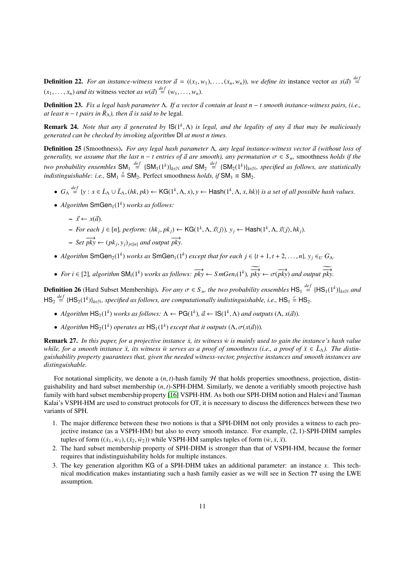**Definition 22.** For an instance-witness vector  $\vec{a} = ((x_1, w_1), \ldots, (x_n, w_n))$ , we define its instance vector *as*  $x(\vec{a}) \stackrel{def}{=}$  $(x_1, \ldots, x_n)$  *and its* witness vector *as*  $w(\vec{a}) \stackrel{def}{=} (w_1, \ldots, w_n)$ *.* 

**Definition 23.** *Fix a legal hash parameter* Λ. *If a vector*  $\vec{a}$  *contain at least n* − *t smooth instance-witness pairs, (i.e., at least n* − *t pairs in*  $\ddot{R}_{\Lambda}$ *), then*  $\vec{a}$  *is said to be* legal.

**Remark 24.** *Note that any*  $\vec{a}$  generated by  $\text{IS}(1^k, \Lambda)$  is legal, and the legality of any  $\vec{a}$  that may be maliciously generated can be checked by invoking algorithm  $\text{DI}$  at most n times *generated can be checked by invoking algorithm* DI *at most n times.*

<span id="page-10-0"></span>**Definition 25** (Smoothness). *For any legal hash parameter* Λ, *any legal instance-witness vector*  $\vec{a}$  (without loss of *generality, we assume that the last n – t entries of*  $\vec{a}$  *are smooth), any permutation*  $\sigma \in S_n$ , smoothness *holds if the two probability ensembles*  $SM_1 \stackrel{def}{=} {SM_1(1^k)}_{k \in \mathbb{N}}$  and  $SM_2 \stackrel{def}{=} {SM_2(1^k)}_{k \in \mathbb{N}}$ , specified as follows, are statistically *indistinguishable: i.e.*,  $SM_1 \stackrel{s}{=} SM_2$ . Perfect smoothness *holds, if*  $SM_1 \equiv SM_2$ .

- $G_{\Lambda} \stackrel{def}{=} \{y : x \in L_{\Lambda} \cup L_{\Lambda}, (hk, pk) \leftarrow \mathsf{KG}(1^k, \Lambda, x), y \leftarrow \mathsf{Hash}(1^k, \Lambda, x, hk)\}$  is a set of all possible hash values.
- $Algorithm SmGen<sub>1</sub>(1<sup>k</sup>) works as follows:$ 
	- $\overrightarrow{x}$  ← *x*( $\overrightarrow{a}$ ).
	- $\rightarrow$  *For each j* ∈ [*n*]*, perform:* (*hk<sub>j</sub>, pk<sub>j</sub>*) ← KG(1<sup>*k*</sup>, Λ,  $\vec{x}$ (*j*)*, y<sub>j</sub>* ← Hash(1<sup>*k*</sup>, Λ,  $\vec{x}$ (*j*)*, hk<sub>j</sub>)*.
	- $-$  *Set*  $\overrightarrow{pky}$  ←  $(pk_j, y_j)_{j \in [n]}$  *and output*  $\overrightarrow{pky}$ .
- *Algorithm* SmGen<sub>2</sub>(1<sup>*k*</sup>) *works as* SmGen<sub>1</sub>(1<sup>*k*</sup>) *except that for each j*  $\in$  {*t* + 1, *t* + 2, . . . . , *n*}*, y<sub>j</sub>*  $\in$  *u G*<sub> $\Lambda$ </sub>.
- *For i*  $\in$  [2], *algorithm* SM<sub>*i*</sub>(1<sup>*k*</sup>)</sub> *works as follows:*  $\overrightarrow{pky}$  ←  $S$ *mGen<sub><i>i*</sub>(1<sup>*k*</sup>),  $\overrightarrow{pky}$  ←  $\sigma(\overrightarrow{pky})$  *and output*  $\overrightarrow{pky}$ .

**Definition 26** (Hard Subset Membership). *For any*  $\sigma \in S_n$ , the two probability ensembles  $\text{HS}_1 \stackrel{def}{=} {\text{[HS}_1(1^k)}_{k \in \mathbb{N}}$  and  $\text{[H.S.]}$   $\sigma^{def}$   $\text{[H.S.]}$   $\text{[H.S.]}$  $HS_2 \stackrel{def}{=} \{HS_2(1^k)\}_{k \in \mathbb{N}}$ , specified as follows, are computationally indistinguishable, i.e.,  $HS_1 \stackrel{c}{=} HS_2$ .

- *Algorithm*  $\text{HS}_1(1^k)$  *works as follows:*  $\Lambda \leftarrow \text{PG}(1^k)$ ,  $\vec{a} \leftarrow \text{IS}(1^k, \Lambda)$  *and outputs*  $(\Lambda, x(\vec{a}))$ .
- *Algorithm*  $HS_2(1^k)$  *operates as*  $HS_1(1^k)$  *except that it outputs*  $(\Lambda, \sigma(x(\vec{a})))$ *.*

Remark 27. *In this paper, for a projective instance*  $\dot{x}$ , *its witness*  $\dot{w}$  *is mainly used to gain the instance's hash value while, for a smooth instance*  $\ddot{x}$ , *its witness*  $\ddot{w}$  *serves as a proof of smoothness (i.e., a proof of*  $\ddot{x} \in L_{\lambda}$ ). The distin*guishability property guarantees that, given the needed witness-vector, projective instances and smooth instances are distinguishable.*

For notational simplicity, we denote a  $(n, t)$ -hash family  $H$  that holds properties smoothness, projection, distinguishability and hard subset membership (*n*, *<sup>t</sup>*)-SPH-DHM. Similarly, we denote a verifiably smooth projective hash family with hard subset membership property [\[16\]](#page-23-14) VSPH-HM. As both our SPH-DHM notion and Halevi and Tauman Kalai's VSPH-HM are used to construct protocols for OT, it is necessary to discuss the differences between these two variants of SPH.

- 1. The major difference between these two notions is that a SPH-DHM not only provides a witness to each projective instance (as a VSPH-HM) but also to every smooth instance. For example, (2, 1)-SPH-DHM samples tuples of form  $((\dot{x}_1, \dot{w}_1), (\ddot{x}_2, \ddot{w}_2))$  while VSPH-HM samples tuples of form  $(\dot{w}, \dot{x}, \ddot{x})$ .
- 2. The hard subset membership property of SPH-DHM is stronger than that of VSPH-HM, because the former requires that indistinguishability holds for multiple instances.
- 3. The key generation algorithm KG of a SPH-DHM takes an additional parameter: an instance *x*. This technical modification makes instantiating such a hash family easier as we will see in Section ?? using the LWE assumption.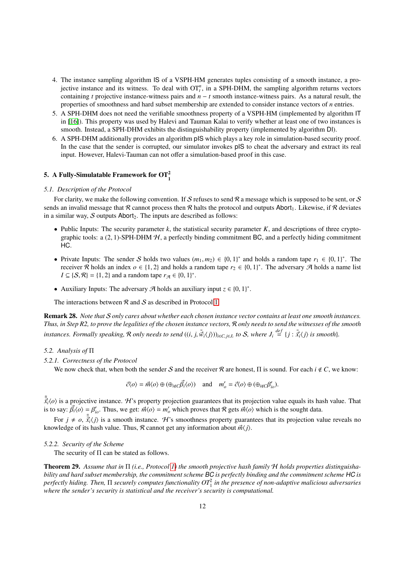- 4. The instance sampling algorithm IS of a VSPH-HM generates tuples consisting of a smooth instance, a projective instance and its witness. To deal with  $OT<sub>t</sub><sup>n</sup>$ , in a SPH-DHM, the sampling algorithm returns vectors containing *t* projective instance-witness pairs and  $n - t$  smooth instance-witness pairs. As a natural result, the properties of smoothness and hard subset membership are extended to consider instance vectors of *n* entries.
- 5. A SPH-DHM does not need the verifiable smoothness property of a VSPH-HM (implemented by algorithm IT in [\[16\]](#page-23-14)). This property was used by Halevi and Tauman Kalai to verify whether at least one of two instances is smooth. Instead, a SPH-DHM exhibits the distinguishability property (implemented by algorithm DI).
- 6. A SPH-DHM additionally provides an algorithm pIS which plays a key role in simulation-based security proof. In the case that the sender is corrupted, our simulator invokes pIS to cheat the adversary and extract its real input. However, Halevi-Tauman can not offer a simulation-based proof in this case.

# <span id="page-11-0"></span>5. A Fully-Simulatable Framework for  $\text{OT}_1^2$

#### *5.1. Description of the Protocol*

For clarity, we make the following convention. If S refuses to send  $\mathcal R$  a message which is supposed to be sent, or S sends an invalid message that R cannot process then R halts the protocol and outputs Abort<sub>1</sub>. Likewise, if R deviates in a similar way,  $S$  outputs Abort<sub>2</sub>. The inputs are described as follows:

- Public Inputs: The security parameter *k*, the statistical security parameter *K*, and descriptions of three cryptographic tools: a  $(2, 1)$ -SPH-DHM  $H$ , a perfectly binding commitment BC, and a perfectly hiding commitment HC.
- Private Inputs: The sender S holds two values  $(m_1, m_2) \in \{0, 1\}^*$  and holds a random tape  $r_1 \in \{0, 1\}^*$ . The sense  $r_2 \in \{0, 1\}^*$  and holds a random tape  $r_2 \in \{0, 1\}^*$ . The adversary  $\mathcal{A}$  holds a name receiver R holds an index *o* ∈ {1, 2} and holds a random tape  $r_2 \in \{0, 1\}^*$ . The adversary A holds a name list  $I \subset \{S, \mathbb{R}\} = \{1, 2\}$  and a random tape  $r_{\mathbb{R}} \in \{0, 1\}^*$  $I \subseteq \{S, \mathcal{R}\} = \{1, 2\}$  and a random tape  $r_{\mathcal{A}} \in \{0, 1\}^*$ .
- Auxiliary Inputs: The adversary  $\mathcal{A}$  holds an auxiliary input  $z \in \{0, 1\}^*$ .

The interactions between  $R$  and  $S$  as described in Protocol [1.](#page-12-0)

Remark 28. *Note that* S *only cares about whether each chosen instance vector contains at least one smooth instances. Thus, in Step R2, to prove the legalities of the chosen instance vectors,* R *only needs to send the witnesses of the smooth* instances. Formally speaking, R only needs to send  $((i, j, \tilde{w}_i\langle j\rangle))_{i\in C, j\in J_i}$  to S, where  $J_i \stackrel{def}{=} \{j : \tilde{x}_i\langle j\rangle \}$  is smooth}.

#### *5.2. Analysis of* Π

*5.2.1. Correctness of the Protocol*

We now check that, when both the sender S and the receiver R are honest,  $\Pi$  is sound. For each  $i \notin C$ , we know:

$$
\vec{c}\langle o \rangle = \vec{m}\langle o \rangle \oplus (\oplus_{i \notin C} \vec{\beta}_i \langle o \rangle) \quad \text{and} \quad m'_o = \vec{c}\langle o \rangle \oplus (\oplus_{i \notin C} \beta'_{io}).
$$

 $\tilde{\vec{x}}_i(o)$  is a projective instance. H's property projection guarantees that its projection value equals its hash value. That is to say:  $\vec{B}(o) = B'$ . Thus we get:  $\vec{B}(o) = m'$  which proves that  $B$  gets  $\vec{B}(o)$  whic is to say:  $\vec{\beta}_i \langle o \rangle = \beta'_{io}$ . Thus, we get:  $\vec{m} \langle o \rangle = m'_o$  which proves that  $\Re$  gets  $\vec{m} \langle o \rangle$  which is the sought data.

For  $j \neq o$ ,  $\tilde{\vec{x}}_i(j)$  is a smooth instance. H's smoothness property guarantees that its projection value reveals no<br>wledge of its hash value. Thus R cannot get any information about  $\vec{w}(i)$ knowledge of its hash value. Thus, R cannot get any information about  $\vec{m}$   $\langle i \rangle$ .

#### *5.2.2. Security of the Scheme*

The security of Π can be stated as follows.

<span id="page-11-1"></span>Theorem 29. *Assume that in* Π *(i.e., Protocol [1\)](#page-12-0) the smooth projective hash family* H *holds properties distinguishability and hard subset membership, the commitment scheme* BC *is perfectly binding and the commitment scheme* HC *is perfectly hiding. Then,* Π *securely computes functionality OT*<sup>2</sup> 1 *in the presence of non-adaptive malicious adversaries where the sender's security is statistical and the receiver's security is computational.*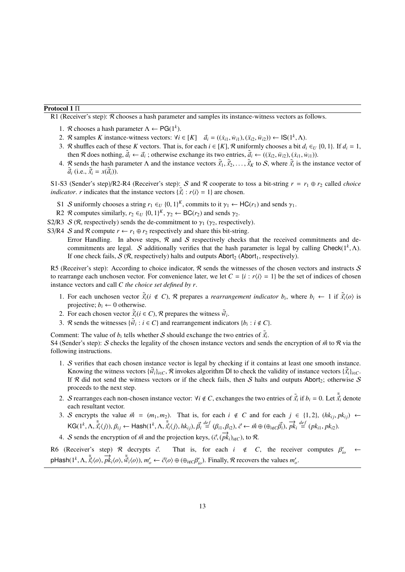# Protocol 1 Π

<span id="page-12-0"></span>R1 (Receiver's step):  $\mathcal R$  chooses a hash parameter and samples its instance-witness vectors as follows.

- 1. *R* chooses a hash parameter  $\Lambda \leftarrow PG(1^k)$ .
- 2. R samples K instance-witness vectors:  $\forall i \in [K]$   $\vec{a}_i = ((\dot{x}_{i1}, \dot{w}_{i1}), (\ddot{x}_{i2}, \ddot{w}_{i2})) \leftarrow \mathsf{IS}(1^k, \Lambda)$ .<br>2. R shuffles seek of these K vectors. That is, for seek  $i \in [K]$  R uniformly shooses a hit d
- 3. R shuffles each of these K vectors. That is, for each  $i \in [K]$ , R uniformly chooses a bit  $d_i \in U$  {0, 1}. If  $d_i = 1$ , then R does nothing,  $\tilde{a}_i \leftarrow \tilde{a}_i$ ; otherwise exchange its two entries,  $\tilde{a}_i \leftarrow ((\tilde{x}_i, \tilde{w}_i), (\tilde{x}_i, \tilde{w}_i))$ .<br>
R sands the heat nonproter A and the instance yesters  $\tilde{a}$ ,  $\tilde{a}$ , to S where  $\tilde{a}$  is
- 4. R sends the hash parameter  $\Lambda$  and the instance vectors  $\tilde{\vec{x}}_1, \tilde{\vec{x}}_2, \ldots, \tilde{\vec{x}}_K$  to  $S$ , where  $\tilde{\vec{x}}_i$  is the instance vector of  $\tilde{\vec{x}}_i$  (i.e.  $\tilde{\vec{x}}_i \kappa(\tilde{\vec{x}}_i)$ )  $\tilde{\vec{a}}_i$  (i.e.,  $\tilde{\vec{x}}_i = x(\tilde{\vec{a}}_i)$ ).

S1-S3 (Sender's step)/R2-R4 (Receiver's step): S and R cooperate to toss a bit-string  $r = r_1 \oplus r_2$  called *choice indicator. r* indicates that the instance vectors  $\{\tilde{x}_i : r \langle i \rangle = 1\}$  are chosen.

- S1 S uniformly chooses a string  $r_1 \in U$  {0, 1}<sup>K</sup>, commits to it  $\gamma_1 \leftarrow \text{HC}(r_1)$  and sends  $\gamma_1$ .<br>B2  $\mathcal{P}$  computes similarly  $r_1 \in U$  (0, 1)<sup>K</sup>,  $\alpha_i \in \text{BC}(r_1)$  and sends  $\alpha_i$ .
- R2 R computes similarly,  $r_2 \in U$   $\{0, 1\}^K$ ,  $\gamma_2 \leftarrow BC(r_2)$  and sends  $\gamma_2$ .
- S2/R3  $\mathcal{S}(\mathcal{R})$ , respectively) sends the de-commitment to  $\gamma_1$  ( $\gamma_2$ , respectively).

S3/R4 S and R compute  $r \leftarrow r_1 \oplus r_2$  respectively and share this bit-string.

Error Handling. In above steps,  $\mathcal R$  and  $\mathcal S$  respectively checks that the received commitments and decommitments are legal. S additionally verifies that the hash parameter is legal by calling Check( $1^k$ ,  $\Lambda$ ).<br>If one check fails S ( $\Re$  respectively) halts and outputs Abort, (Abort, respectively) If one check fails,  $S(R)$ , respectively) halts and outputs Abort<sub>2</sub> (Abort<sub>1</sub>, respectively).

R5 (Receiver's step): According to choice indicator,  $\mathcal R$  sends the witnesses of the chosen vectors and instructs  $\mathcal S$ to rearrange each unchosen vector. For convenience later, we let  $C = \{i : r \langle i \rangle = 1\}$  be the set of indices of chosen instance vectors and call *C the choice set defined by r*.

- 1. For each unchosen vector  $\tilde{x}_i(i \notin C)$ , R prepares a *rearrangement indicator*  $b_i$ , where  $b_i \leftarrow 1$  if  $\tilde{x}_i(o)$  is projective:  $b_i \leftarrow 0$  otherwise projective;  $b_i \leftarrow 0$  otherwise.
- 2. For each chosen vector  $\tilde{\vec{x}}_i (i \in C)$ , R prepares the witness  $\tilde{\vec{w}}_i$ .<br>2.  $\mathcal{P}$  cands the witnesses  $\{\tilde{\vec{x}}_i : i \in C\}$  and regresses particulation
- 3. *R* sends the witnesses  $\{\tilde{w}_i : i \in C\}$  and rearrangement indicators  $\{b_i : i \notin C\}$ .

Comment: The value of  $b_i$  tells whether S should exchange the two entries of  $\tilde{\vec{x}}_i$ .<br>S4 (Sender's step): S checks the legality of the chosen instance vectors and send

S4 (Sender's step): S checks the legality of the chosen instance vectors and sends the encryption of  $\vec{m}$  to R via the following instructions.

- 1. S verifies that each chosen instance vector is legal by checking if it contains at least one smooth instance. Knowing the witness vectors  $\{\vec{w}_i\}_{i \in C}$ , R invokes algorithm DI to check the validity of instance vectors  $\{\vec{x}_i\}_{i \in C}$ .<br>If R did not send the witness vectors or if the check fails, then S halts and outputs Aborta; If R did not send the witness vectors or if the check fails, then S halts and outputs Abort<sub>2</sub>; otherwise S proceeds to the next step.
- 2. S rearranges each non-chosen instance vector:  $\forall i \notin C$ , exchanges the two entries of  $\tilde{\vec{x}}_i$  if  $b_i = 0$ . Let  $\tilde{\vec{x}}_i$  denote each resultant vector each resultant vector.
- 3. S encrypts the value  $\vec{m} = (m_1, m_2)$ . That is, for each  $i \notin C$  and for each  $j \in \{1, 2\}$ ,  $(hk_{ij}, p k_{ij})$  ←  $KG(1^k, \Lambda, \tilde{\vec{x}}_i(j)), \beta_{ij} \leftarrow \text{Hash}(1^k, \Lambda, \tilde{\vec{x}}_i(j), hk_{ij}), \vec{\beta}_i \stackrel{\text{def}}{=} (\beta_{i1}, \beta_{i2}), \vec{c} \leftarrow \vec{m} \oplus (\oplus_{i \notin C} \vec{\beta}_i), \vec{pk}_i \stackrel{\text{def}}{=} (pk_{i1}, pk_{i2}).$
- 4. *S* sends the encryption of  $\vec{m}$  and the projection keys, ( $\vec{c}$ , ( $\vec{pk}_i$ ) $_{i \notin C}$ ), to  $\Re$ .

R6 (Receiver's step)  $\mathcal{R}$  decrypts  $\vec{c}$ . That is, for each  $i \notin C$ , the receiver computes  $\beta'_{io} \leftarrow$ pHash(1<sup>k</sup>,  $\Lambda$ ,  $\tilde{\vec{x}}_i$ (*o*),  $\vec{p}k_i$ (*o*),  $\tilde{\vec{w}}_i$ (*o*)),  $m'_o \leftarrow \vec{c}$ (*o*)  $\oplus$  ( $\oplus_{i \notin C}\beta'_{io}$ ). Finally, *R* recovers the values  $m'_o$ .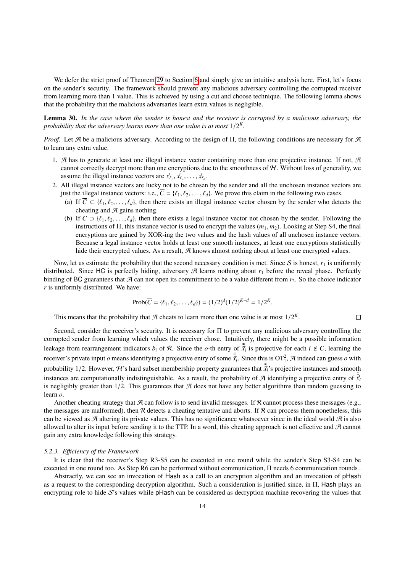We defer the strict proof of Theorem [29](#page-11-1) to Section [6](#page-14-0) and simply give an intuitive analysis here. First, let's focus on the sender's security. The framework should prevent any malicious adversary controlling the corrupted receiver from learning more than 1 value. This is achieved by using a cut and choose technique. The following lemma shows that the probability that the malicious adversaries learn extra values is negligible.

<span id="page-13-0"></span>Lemma 30. *In the case where the sender is honest and the receiver is corrupted by a malicious adversary, the probability that the adversary learns more than one value is at most* <sup>1</sup>/<sup>2</sup> *K .*

*Proof.* Let A be a malicious adversary. According to the design of Π, the following conditions are necessary for A to learn any extra value.

- 1. A has to generate at least one illegal instance vector containing more than one projective instance. If not,  $A$ cannot correctly decrypt more than one encryptions due to the smoothness of  $H$ . Without loss of generality, we assume the illegal instance vectors are  $\vec{x}_{\ell_1}, \vec{x}_{\ell_2}, \dots, \vec{x}_{\ell_d}$ .<br>All illegal instance vectors are lucky not to be chosen
- 2. All illegal instance vectors are lucky not to be chosen by the sender and all the unchosen instance vectors are just the illegal instance vectors: i.e.,  $\overline{C} = \{ \ell_1, \ell_2, \ldots, \ell_d \}$ . We prove this claim in the following two cases.
	- (a) If  $\overline{C} \subset \{\ell_1, \ell_2, \ldots, \ell_d\}$ , then there exists an illegal instance vector chosen by the sender who detects the cheating and  $A$  gains nothing.
	- (b) If  $\overline{C} \supset \{ \ell_1, \ell_2, \ldots, \ell_d \}$ , then there exists a legal instance vector not chosen by the sender. Following the instructions of <sup>Π</sup>, this instance vector is used to encrypt the values (*m*1, *<sup>m</sup>*2). Looking at Step S4, the final encryptions are gained by XOR-ing the two values and the hash values of all unchosen instance vectors. Because a legal instance vector holds at least one smooth instances, at least one encryptions statistically hide their encrypted values. As a result,  $A$  knows almost nothing about at least one encrypted values.

Now, let us estimate the probability that the second necessary condition is met. Since  $S$  is honest,  $r_1$  is uniformly distributed. Since HC is perfectly hiding, adversary  $\mathcal A$  learns nothing about  $r_1$  before the reveal phase. Perfectly binding of BC guarantees that  $\mathcal A$  can not open its commitment to be a value different from  $r_2$ . So the choice indicator *r* is uniformly distributed. We have:

$$
Prob(\overline{C} = \{\ell_1, \ell_2, \dots, \ell_d\}) = (1/2)^d (1/2)^{K-d} = 1/2^K.
$$

 $\Box$ 

This means that the probability that  $\mathcal A$  cheats to learn more than one value is at most  $1/2^k$ .

Second, consider the receiver's security. It is necessary for Π to prevent any malicious adversary controlling the corrupted sender from learning which values the receiver chose. Intuitively, there might be a possible information leakage from rearrangement indicators  $b_i$  of R. Since the *o*-th entry of  $\tilde{\vec{x}}_i$  is projective for each  $i \notin C$ , learning the receiver's private input *o* means identifying a projective entry of some  $\tilde{\vec{x}}_i$ . Since this is OT<sub>1</sub>, A indeed can guess *o* with probability 1/2. However, H's hard subset membership property guarantees that  $\tilde{\vec{x}}_i$ 's projective instances and smooth instances are computationally indistinguishable. As a result, the probability of  $\mathcal{A}$  identifying a projective entry of  $\vec{x}$ <sup>*i*</sup> is negligibly greater than  $1/2$ . This guarantees that  $\mathcal A$  does not have any better algorithms than random guessing to learn *o*.

Another cheating strategy that  $A$  can follow is to send invalid messages. If  $R$  cannot process these messages (e.g., the messages are malformed), then  $R$  detects a cheating tentative and aborts. If  $R$  can process them nonetheless, this can be viewed as  $A$  altering its private values. This has no significance whatsoever since in the ideal world  $A$  is also allowed to alter its input before sending it to the TTP. In a word, this cheating approach is not effective and  $\mathcal A$  cannot gain any extra knowledge following this strategy.

## *5.2.3. E*ffi*ciency of the Framework*

It is clear that the receiver's Step R3-S5 can be executed in one round while the sender's Step S3-S4 can be executed in one round too. As Step R6 can be performed without communication, Π needs 6 communication rounds .

Abstractly, we can see an invocation of Hash as a call to an encryption algorithm and an invocation of pHash as a request to the corresponding decryption algorithm. Such a consideration is justified since, in Π, Hash plays an encrypting role to hide  $S$ 's values while pHash can be considered as decryption machine recovering the values that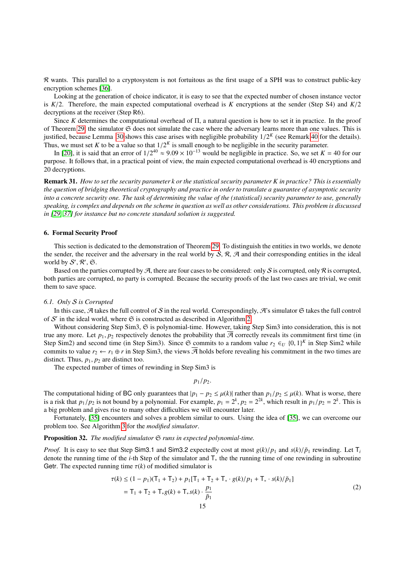R wants. This parallel to a cryptosystem is not fortuitous as the first usage of a SPH was to construct public-key encryption schemes [\[36\]](#page-23-34).

Looking at the generation of choice indicator, it is easy to see that the expected number of chosen instance vector is *<sup>K</sup>*/2. Therefore, the main expected computational overhead is *<sup>K</sup>* encryptions at the sender (Step S4) and *<sup>K</sup>*/<sup>2</sup> decryptions at the receiver (Step R6).

Since *K* determines the computational overhead of Π, a natural question is how to set it in practice. In the proof of Theorem [29,](#page-11-1) the simulator  $\mathfrak S$  does not simulate the case where the adversary learns more than one values. This is justified, because Lemma [30](#page-13-0) shows this case arises with negligible probability  $1/2<sup>K</sup>$  (see Remark [40](#page-22-2) for the details).<br>Thus we must set K to be a value so that  $1/2<sup>K</sup>$  is small enough to be negligible in the secu Thus, we must set *K* to be a value so that  $1/2^K$  is small enough to be negligible in the security parameter.<br>In [20] it is said that an error of  $1/2^{40} \approx 9.09 \times 10^{-13}$  would be negligible in practice. So, we set *K* 

In [\[20\]](#page-23-18), it is said that an error of  $1/2^{40} \approx 9.09 \times 10^{-13}$  would be negligible in practice. So, we set  $K = 40$  for our pose. It follows that in a practical point of view the main expected computational overhead is 40 purpose. It follows that, in a practical point of view, the main expected computational overhead is 40 encryptions and 20 decryptions.

Remark 31. *How to set the security parameter k or the statistical security parameter K in practice? This is essentially the question of bridging theoretical cryptography and practice in order to translate a guarantee of asymptotic security into a concrete security one. The task of determining the value of the (statistical) security parameter to use, generally speaking, is complex and depends on the scheme in question as well as other considerations. This problem is discussed in [\[29,](#page-23-27) [37\]](#page-23-35) for instance but no concrete standard solution is suggested.*

#### <span id="page-14-0"></span>6. Formal Security Proof

This section is dedicated to the demonstration of Theorem [29.](#page-11-1) To distinguish the entities in two worlds, we denote the sender, the receiver and the adversary in the real world by  $S$ ,  $\mathcal{R}$ ,  $\mathcal{A}$  and their corresponding entities in the ideal world by  $S', \mathcal{R}', \mathfrak{S}$ .

Based on the parties corrupted by  $\mathcal{A}$ , there are four cases to be considered: only  $\mathcal{S}$  is corrupted, only  $\mathcal{R}$  is corrupted, both parties are corrupted, no party is corrupted. Because the security proofs of the last two cases are trivial, we omit them to save space.

#### *6.1. Only* S *is Corrupted*

In this case, A takes the full control of S in the real world. Correspondingly, A's simulator  $\Im$  takes the full control of  $S'$  in the ideal world, where  $\mathfrak S$  is constructed as described in Algorithm [2.](#page-15-0)

Without considering Step Sim3, G is polynomial-time. However, taking Step Sim3 into consideration, this is not true any more. Let  $p_1, p_2$  respectively denotes the probability that  $\mathcal A$  correctly reveals its commitment first time (in Step Sim2) and second time (in Step Sim3). Since  $\mathfrak{S}$  commits to a random value  $r_2 \in U$   $\{0, 1\}^K$  in Step Sim2 while<br>commits to value  $r_2 \leftarrow r_1 \oplus r_1$  in Step Sim3, the views  $\overline{A}$  holds before revealing his commits to value  $r_2 \leftarrow r_1 \oplus r$  in Step Sim3, the views  $\overline{A}$  holds before revealing his commitment in the two times are distinct. Thus,  $p_1$ ,  $p_2$  are distinct too.

The expected number of times of rewinding in Step Sim3 is

<span id="page-14-1"></span>
$$
p_1/p_2.
$$

The computational hiding of BC only guarantees that  $|p_1 - p_2| \le \mu(k)$  rather than  $p_1/p_2 \le \mu(k)$ . What is worse, there is a risk that  $p_1/p_2$  is not bound by a polynomial. For example,  $p_1 = 2^k$ ,  $p_2 = 2^{2k}$ , which result in  $p_1/p_2 = 2^k$ . This is a big problem and gives rise to many other difficulties we will encounter later.

Fortunately, [\[35\]](#page-23-33) encounters and solves a problem similar to ours. Using the idea of [35], we can overcome our problem too. See Algorithm [3](#page-16-0) for the *modified simulator*.

## <span id="page-14-2"></span>Proposition 32. *The modified simulator*  $\Im$  *runs in expected polynomial-time.*

*Proof.* It is easy to see that Step Sim3.1 and Sim3.2 expectedly cost at most  $g(k)/p_1$  and  $s(k)/\tilde{p}_1$  rewinding. Let T<sub>i</sub> denote the running time of the *i*-th Step of the simulator and T<sup>∗</sup> the the running time of one rewinding in subroutine Getr. The expected running time  $\tau(k)$  of modified simulator is

$$
\tau(k) \le (1 - p_1)(T_1 + T_2) + p_1[T_1 + T_2 + T_* \cdot g(k)/p_1 + T_* \cdot s(k)/\tilde{p}_1]
$$
  
= T<sub>1</sub> + T<sub>2</sub> + T<sub>\*</sub>g(k) + T<sub>\*</sub>s(k) \cdot  $\frac{p_1}{\tilde{p}_1}$  (2)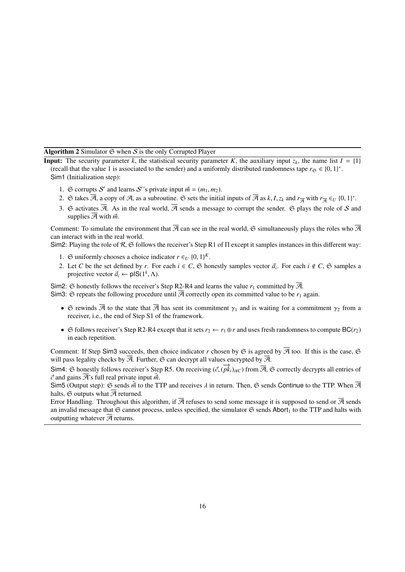Algorithm 2 Simulator  $\Im$  when  $S$  is the only Corrupted Player

<span id="page-15-0"></span>**Input:** The security parameter *k*, the statistical security parameter *K*, the auxiliary input  $z_k$ , the name list  $I = \{1\}$ (recall that the value 1 is associated to the sender) and a uniformly distributed randomness tape  $r_{\mathfrak{S}} \in \{0, 1\}^*$ .<br>Sim1 (Initialization step): Sim1 (Initialization step):

- 1.  $\Im$  corrupts S' and learns S''s private input  $\vec{m} = (m_1, m_2)$ .<br>  $\Im$  folios  $\vec{a}$  a sopra of  $\vec{a}$  as a subporting  $\Im$  sets the initial
- 2.  $\Im$  takes  $\overline{A}$ , a copy of  $\overline{A}$ , as a subroutine.  $\Im$  sets the initial inputs of  $\overline{A}$  as *k*, *I*, *z<sub>k</sub>* and  $r_{\overline{A}}$  with  $r_{\overline{A}} \in U$  {0, 1}<sup>\*</sup>.
- 3. G activates  $\overline{A}$ . As in the real world,  $\overline{A}$  sends a message to corrupt the sender. G plays the role of S and supplies  $\overline{\mathcal{A}}$  with  $\vec{m}$ .

Comment: To simulate the environment that  $\overline{A}$  can see in the real world, G simultaneously plays the roles who  $\overline{A}$ can interact with in the real world.

Sim2: Playing the role of R,  $\Im$  follows the receiver's Step R1 of  $\Pi$  except it samples instances in this different way:

- 1. G uniformly chooses a choice indicator  $r \in U$  {0, 1}<sup>K</sup>.<br>2. Let *C* be the set defined by *x*. For seeh  $i \in C$  ( $\approx$  be
- 2. Let *C* be the set defined by *r*. For each  $i \in C$ ,  $\mathfrak{S}$  honestly samples vector  $\vec{a}_i$ . For each  $i \notin C$ ,  $\mathfrak{S}$  samples a projective vector  $\vec{a}_i \leftarrow \mathbf{p}|\mathbf{S}(\mathbf{l}^k | \mathbf{A})$ projective vector  $\vec{a}_i \leftarrow \text{pIS}(1^k, \Lambda)$ .

Sim2:  $\Im$  honestly follows the receiver's Step R2-R4 and learns the value  $r_1$  committed by  $\overline{A}$ .

Sim3:  $\Im$  repeats the following procedure until  $\overline{A}$  correctly open its committed value to be  $r_1$  again.

- $\Im$  rewinds  $\overline{A}$  to the state that  $\overline{A}$  has sent its commitment  $\gamma_1$  and is waiting for a commitment  $\gamma_2$  from a receiver, i.e., the end of Step S1 of the framework.
- $\Im$  follows receiver's Step R2-R4 except that it sets  $r_2 \leftarrow r_1 \oplus r$  and uses fresh randomness to compute BC( $r_2$ ) in each repetition.

Comment: If Step Sim3 succeeds, then choice indicator *r* chosen by  $\Im$  is agreed by  $\overline{\mathcal{A}}$  too. If this is the case,  $\Im$ will pass legality checks by  $\overline{A}$ . Further,  $\mathfrak S$  can decrypt all values encrypted by  $\overline{A}$ .

Sim4: G honestly follows receiver's Step R5. On receiving  $(\vec{c}, (\vec{pk}_i)_{i\notin C})$  from  $\overline{\mathcal{A}}, \mathfrak{S}$  correctly decrypts all entries of  $\vec{a}$  and gains  $\overline{\mathcal{A}}$ ; full real private input  $\vec{p}$ .  $\vec{c}$  and gains  $\overline{\mathcal{A}}$ 's full real private input  $\vec{m}$ .

Sim5 (Output step):  $\Im$  sends  $\vec{\hat{m}}$  to the TTP and receives  $\lambda$  in return. Then,  $\Im$  sends Continue to the TTP. When  $\overline{\mathcal{A}}$ halts,  $\Im$  outputs what  $\overline{\mathcal{A}}$  returned.

Error Handling. Throughout this algorithm, if  $\overline{A}$  refuses to send some message it is supposed to send or  $\overline{A}$  sends an invalid message that  $\Im$  cannot process, unless specified, the simulator  $\Im$  sends Abort<sub>1</sub> to the TTP and halts with outputting whatever  $\overline{\mathcal{A}}$  returns.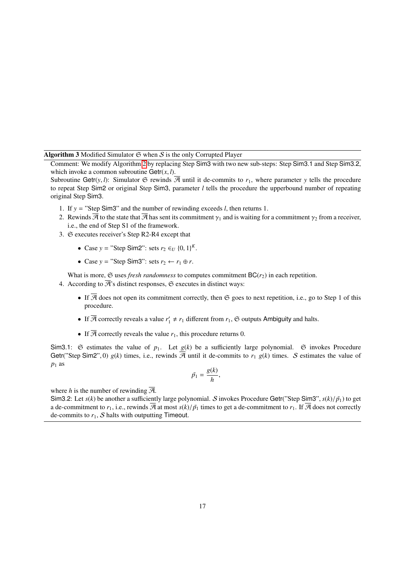Algorithm 3 Modified Simulator  $G$  when  $S$  is the only Corrupted Player

<span id="page-16-0"></span>Comment: We modify Algorithm [2](#page-15-0) by replacing Step Sim3 with two new sub-steps: Step Sim3.<sup>1</sup> and Step Sim3.2, which invoke a common subroutine  $Getr(x, l)$ .

Subroutine Getr(*y*, *l*): Simulator  $\mathfrak{S}$  rewinds  $\overline{\mathcal{A}}$  until it de-commits to  $r_1$ , where parameter *y* tells the procedure to repeat Step Sim2 or original Step Sim3, parameter *l* tells the procedure the upperbound number of repeating original Step Sim3.

- 1. If *y* = "Step Sim3" and the number of rewinding exceeds *l*, then returns 1.
- 2. Rewinds  $\overline{\mathcal{A}}$  to the state that  $\overline{\mathcal{A}}$  has sent its commitment  $\gamma_1$  and is waiting for a commitment  $\gamma_2$  from a receiver, i.e., the end of Step S1 of the framework.
- 3. S executes receiver's Step R2-R4 except that
	- Case *y* = "Step Sim2": sets  $r_2 \in U \{0, 1\}^K$ .
	- Case  $y =$  "Step Sim3": sets  $r_2 \leftarrow r_1 \oplus r$ .

What is more,  $\mathfrak S$  uses *fresh randomness* to computes commitment  $BC(r_2)$  in each repetition.

4. According to  $\overline{\mathcal{A}}$ 's distinct responses,  $\mathfrak S$  executes in distinct ways:

- If  $\overline{A}$  does not open its commitment correctly, then  $\mathfrak S$  goes to next repetition, i.e., go to Step 1 of this procedure.
- If  $\overline{\mathcal{A}}$  correctly reveals a value  $r'_1 \neq r_1$  different from  $r_1$ ,  $\mathfrak{S}$  outputs Ambiguity and halts.
- If  $\overline{A}$  correctly reveals the value  $r_1$ , this procedure returns 0.

Sim3.1:  $\Im$  estimates the value of  $p_1$ . Let  $g(k)$  be a sufficiently large polynomial.  $\Im$  invokes Procedure Getr("Step Sim2", 0)  $g(k)$  times, i.e., rewinds  $\overline{A}$  until it de-commits to  $r_1$   $g(k)$  times. S estimates the value of  $p_1$  as

$$
\tilde{p_1} = \frac{g(k)}{h},
$$

where *h* is the number of rewinding  $\overline{A}$ .

Sim3.2: Let  $s(k)$  be another a sufficiently large polynomial. S invokes Procedure Getr("Step Sim3",  $s(k)/\tilde{p}_1$ ) to get a de-commitment to  $r_1$ , i.e., rewinds  $\overline{A}$  at most  $s(k)/\tilde{p}_1$  times to get a de-commitment to  $r_1$ . If  $\overline{A}$  does not correctly de-commits to  $r_1$ ,  $S$  halts with outputting Timeout.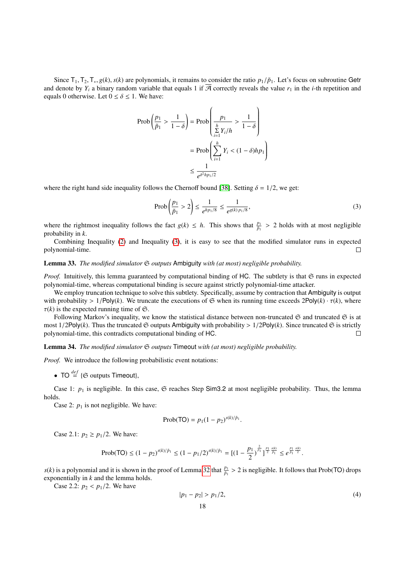Since  $T_1, T_2, T_*, g(k), s(k)$  are polynomials, it remains to consider the ratio  $p_1/\tilde{p}_1$ . Let's focus on subroutine Getr and denote by  $Y_i$  a binary random variable that equals 1 if  $\overline{A}$  correctly reveals the value  $r_1$  in the *i*-th repetition and equals 0 otherwise. Let  $0 \le \delta \le 1$ . We have:

$$
\text{Prob}\left(\frac{p_1}{\tilde{p}_1} > \frac{1}{1-\delta}\right) = \text{Prob}\left(\frac{p_1}{\sum\limits_{i=1}^h Y_i/h} > \frac{1}{1-\delta}\right)
$$

$$
= \text{Prob}\left(\sum\limits_{i=1}^h Y_i < (1-\delta)hp_1\right)
$$

$$
\leq \frac{1}{e^{\delta^2hp_1/2}}
$$

where the right hand side inequality follows the Chernoff bound [\[38\]](#page-23-36). Setting  $\delta = 1/2$ , we get:

<span id="page-17-0"></span>
$$
\text{Prob}\left(\frac{p_1}{\tilde{p}_1} > 2\right) \le \frac{1}{e^{h p_1/8}} \le \frac{1}{e^{g(k) p_1/8}},\tag{3}
$$

where the rightmost inequality follows the fact  $g(k) \leq h$ . This shows that  $\frac{p_1}{\tilde{p}_1} > 2$  holds with at most negligible probability in k probability in *k*.

Combining Inequality [\(2\)](#page-14-1) and Inequality [\(3\)](#page-17-0), it is easy to see that the modified simulator runs in expected polynomial-time.  $\Box$ 

# <span id="page-17-2"></span>Lemma 33. *The modified simulator*  $\mathfrak S$  *outputs* Ambiguity *with (at most) negligible probability.*

*Proof.* Intuitively, this lemma guaranteed by computational binding of HC. The subtlety is that G runs in expected polynomial-time, whereas computational binding is secure against strictly polynomial-time attacker.

We employ truncation technique to solve this subtlety. Specifically, assume by contraction that Ambiguity is output with probability  $> 1/Poly(k)$ . We truncate the executions of  $\mathfrak{S}$  when its running time exceeds  $2Poly(k) \cdot \tau(k)$ , where  $\tau(k)$  is the expected running time of  $\mathfrak{S}$ .

Following Markov's inequality, we know the statistical distance between non-truncated  $\mathfrak S$  and truncated  $\mathfrak S$  is at most  $1/2$ Poly(*k*). Thus the truncated  $\mathfrak{S}$  outputs Ambiguity with probability >  $1/2$ Poly(*k*). Since truncated  $\mathfrak{S}$  is strictly polynomial-time, this contradicts computational binding of HC. polynomial-time, this contradicts computational binding of HC.

<span id="page-17-3"></span>Lemma 34. *The modified simulator* S *outputs* Timeout *with (at most) negligible probability.*

*Proof.* We introduce the following probabilistic event notations:

• TO  $\overset{def}{=}$  { $\mathfrak{S}$  outputs Timeout},

Case 1:  $p_1$  is negligible. In this case,  $\mathfrak S$  reaches Step Sim3.2 at most negligible probability. Thus, the lemma holds.

Case 2:  $p_1$  is not negligible. We have:

$$
Prob(TO) = p_1(1 - p_2)^{s(k)/\tilde{p}_1}.
$$

Case 2.1:  $p_2 \geq p_1/2$ . We have:

$$
\text{Prob}(\text{TO}) \le (1 - p_2)^{s(k)/\tilde{p}_1} \le (1 - p_1/2)^{s(k)/\tilde{p}_1} = \left[ (1 - \frac{p_1}{2})^{\frac{2}{p_1}} \right]^{\frac{p_1}{2}} \frac{s(k)}{\tilde{p}_1} \le e^{\frac{p_1}{\tilde{p}_1} \frac{s(k)}{2}}
$$

 $s(k)$  is a polynomial and it is shown in the proof of Lemma [32](#page-14-2) that  $\frac{p_1}{\bar{p}_1} > 2$  is negligible. It follows that Prob(TO) drops exponentially in k and the lemma holds exponentially in *k* and the lemma holds.

Case 2.2:  $p_2 < p_1/2$ . We have

<span id="page-17-1"></span>
$$
|p_1 - p_2| > p_1/2,\tag{4}
$$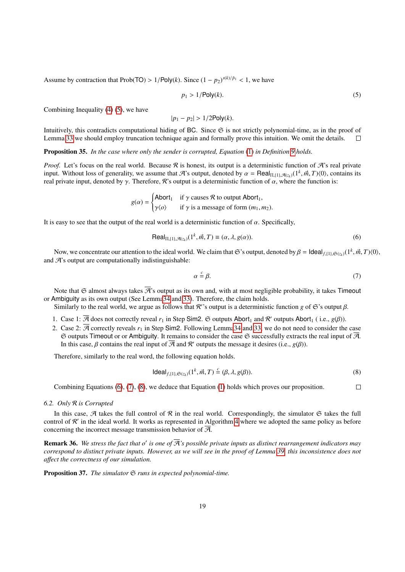Assume by contraction that Prob(TO) >  $1/Poly(k)$ . Since  $(1 - p_2)^{s(k)/\bar{p}_1} < 1$ , we have

<span id="page-18-0"></span>
$$
p_1 > 1/\text{Poly}(k). \tag{5}
$$

Combining Inequality [\(4\)](#page-17-1) [\(5\)](#page-18-0), we have

 $|p_1 - p_2| > 1/2$ Poly(*k*).

Intuitively, this contradicts computational hiding of BC. Since  $\mathfrak S$  is not strictly polynomial-time, as in the proof of Lemma [33](#page-17-2) we should employ truncation technique again and formally prove this intuition. We omit the details.  $\Box$ 

Proposition 35. *In the case where only the sender is corrupted, Equation* [\(1\)](#page-6-1) *in Definition [9](#page-6-0) holds.*

*Proof.* Let's focus on the real world. Because  $\Re$  is honest, its output is a deterministic function of  $\Re$ 's real private input. Without loss of generality, we assume that  $\mathcal{A}$ 's output, denoted by  $\alpha = \text{Real}_{\Pi_{1}(1),\mathcal{A}(z_{k})}(1^{k},\vec{m},T)(0)$ , contains its real private input denoted by  $\alpha$ . Therefore,  $\mathcal{R}$ 's output is a deterministic f real private input, denoted by  $\gamma$ . Therefore, R's output is a deterministic function of  $\alpha$ , where the function is:

$$
g(\alpha) = \begin{cases} \text{Abort}_1 & \text{if } \gamma \text{ causes } \mathcal{R} \text{ to output } \text{Abort}_1, \\ \gamma \langle \rho \rangle & \text{if } \gamma \text{ is a message of form } (m_1, m_2). \end{cases}
$$

It is easy to see that the output of the real world is a deterministic function of  $\alpha$ . Specifically,

$$
\text{Real}_{\Pi, \{1\}, \mathcal{A}(z_k)}(1^k, \vec{m}, T) \equiv (\alpha, \lambda, g(\alpha)). \tag{6}
$$

Now, we concentrate our attention to the ideal world. We claim that G's output, denoted by  $β = \text{Ideal}_{f, \{1\},\mathfrak{S}(z_k)}(1^k, \vec{m}, T)(0)$ ,  $\mathcal{A}$ 's output are computationally indistinguishable: and  $\mathcal{A}$ 's output are computationally indistinguishable:

<span id="page-18-2"></span><span id="page-18-1"></span>
$$
\alpha \stackrel{c}{=} \beta. \tag{7}
$$

Note that  $\mathfrak G$  almost always takes  $\mathcal R$ 's output as its own and, with at most negligible probability, it takes Timeout or Ambiguity as its own output (See Lemm[a34](#page-17-3) and [33\)](#page-17-2). Therefore, the claim holds.

Similarly to the real world, we argue as follows that R''s output is a deterministic function *g* of G's output  $\beta$ .

- 1. Case 1:  $\overline{A}$  does not correctly reveal  $r_1$  in Step Sim2.  $\Im$  outputs Abort<sub>1</sub> and  $\mathcal{R}'$  outputs Abort<sub>1</sub> (i.e.,  $g(\beta)$ ).
- 2. Case 2:  $\overline{A}$  correctly reveals  $r_1$  in Step Sim2. Following Lemm[a34](#page-17-3) and [33,](#page-17-2) we do not need to consider the case  $\Im$  outputs Timeout or or Ambiguity. It remains to consider the case  $\Im$  successfully extracts the real input of  $\overline{A}$ . In this case,  $\beta$  contains the real input of  $\overline{A}$  and  $R'$  outputs the message it desires (i.e., *g*( $\beta$ )).

Therefore, similarly to the real word, the following equation holds.

<span id="page-18-3"></span>
$$
ideal_{f,(1),\mathfrak{S}(z_k)}(1^k, \vec{m}, T) \stackrel{c}{=} (\beta, \lambda, g(\beta)).
$$
\n(8)

Combining Equations [\(6\)](#page-18-1), [\(7\)](#page-18-2), [\(8\)](#page-18-3), we deduce that Equation [\(1\)](#page-6-1) holds which proves our proposition.  $\Box$ 

#### *6.2. Only* R *is Corrupted*

In this case,  $\mathcal A$  takes the full control of  $\mathcal R$  in the real world. Correspondingly, the simulator  $\mathfrak S$  takes the full control of  $R'$  in the ideal world. It works as represented in Algorithm [4](#page-19-0) where we adopted the same policy as before concerning the incorrect message transmission behavior of  $\overline{A}$ .

**Remark 36.** We stress the fact that o' is one of  $\overline{A}$ 's possible private inputs as distinct rearrangement indicators may *correspond to distinct private inputs. However, as we will see in the proof of Lemma [39,](#page-21-0) this inconsistence does not a*ff*ect the correctness of our simulation.*

<span id="page-18-4"></span>**Proposition 37.** *The simulator*  $\mathfrak{S}$  *runs in expected polynomial-time.*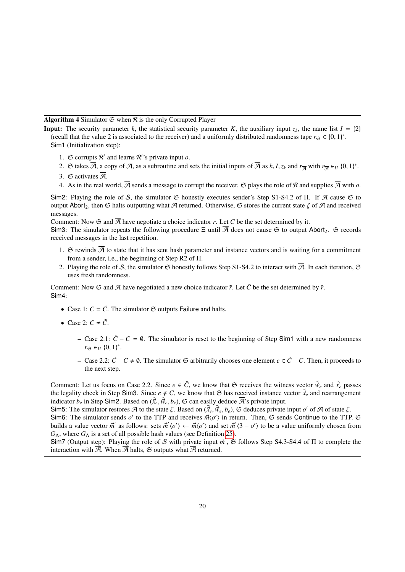**Algorithm 4** Simulator  $\mathfrak{S}$  when  $\mathcal{R}$  is the only Corrupted Player

<span id="page-19-0"></span>**Input:** The security parameter *k*, the statistical security parameter *K*, the auxiliary input  $z_k$ , the name list  $I = \{2\}$ (recall that the value 2 is associated to the receiver) and a uniformly distributed randomness tape  $r_{\mathfrak{S}} \in \{0, 1\}^*$ .<br>Sim1 (Initialization step): Sim1 (Initialization step):

- 1.  $\Im$  corrupts  $\mathcal{R}'$  and learns  $\mathcal{R}$ ''s private input  $o$ .
- 2.  $\Im$  takes  $\overline{\mathcal{A}}$ , a copy of  $\mathcal{A}$ , as a subroutine and sets the initial inputs of  $\overline{\mathcal{A}}$  as  $k, I, z_k$  and  $r_{\overline{\mathcal{A}}}$  with  $r_{\overline{\mathcal{A}}} \in U$   $\{0, 1\}^*$ .
- 3.  $\Im$  activates  $\overline{\mathcal{A}}$ .
- 4. As in the real world,  $\overline{A}$  sends a message to corrupt the receiver.  $\Im$  plays the role of  $\Re$  and supplies  $\overline{A}$  with  $\overline{o}$ .

Sim2: Playing the role of S, the simulator  $\Im$  honestly executes sender's Step S1-S4.2 of Π. If  $\overline{A}$  cause  $\Im$  to output Abort<sub>2</sub>, then G halts outputting what  $\overline{A}$  returned. Otherwise, G stores the current state  $\zeta$  of  $\overline{A}$  and received messages.

Comment: Now  $\mathfrak{S}$  and  $\overline{\mathcal{A}}$  have negotiate a choice indicator *r*. Let *C* be the set determined by it.

Sim3: The simulator repeats the following procedure  $\Xi$  until  $\overline{A}$  does not cause  $\mathfrak{S}$  to output Abort<sub>2</sub>.  $\mathfrak{S}$  records received messages in the last repetition.

- 1. G rewinds  $\overline{A}$  to state that it has sent hash parameter and instance vectors and is waiting for a commitment from a sender, i.e., the beginning of Step R2 of Π.
- 2. Playing the role of S, the simulator  $\mathfrak S$  honestly follows Step S1-S4.2 to interact with  $\overline{\mathcal A}$ . In each iteration,  $\mathfrak S$ uses fresh randomness.

Comment: Now  $\mathfrak{S}$  and  $\overline{\mathcal{A}}$  have negotiated a new choice indicator  $\tilde{r}$ . Let  $\tilde{C}$  be the set determined by  $\tilde{r}$ . Sim4:

- Case 1:  $C = \tilde{C}$ . The simulator  $\mathfrak S$  outputs Failure and halts.
- Case 2:  $C \neq \tilde{C}$ .
	- $-$  Case 2.1:  $\tilde{C}$  − *C* = 0. The simulator is reset to the beginning of Step Sim1 with a new randomness  $r_{\mathfrak{S}} \in U \{0, 1\}^*$ .
	- − Case 2.2:  $\tilde{C}$  −  $C \neq \emptyset$ . The simulator  $\mathfrak{S}$  arbitrarily chooses one element  $e \in \tilde{C}$  − C. Then, it proceeds to the next step.

Comment: Let us focus on Case 2.2. Since  $e \in \tilde{C}$ , we know that  $\mathfrak{S}$  receives the witness vector  $\tilde{\vec{w}}_e$  and  $\tilde{\vec{x}}_e$  passes the legality check in Step Sim3. Since  $e \notin C$ , we know that  $\mathfrak{S}$  has received instance vector  $\tilde{\vec{x}}_e$  and rearrangement indicator  $b_e$  in Step Sim2. Based on  $(\tilde{x}_e, \tilde{w}_e, b_e)$ ,  $\mathfrak{S}$  can easily deduce  $\mathcal{\overline{A}}$ 's private input.<br>Sim5: The simulator restores  $\mathcal{\overline{A}}$  to the state  $\zeta$  Based on  $(\tilde{x}$ ,  $\tilde{w}$ ,  $h$ ),  $\mathfrak{S}$ 

Sim5: The simulator restores  $\overline{\mathcal{A}}$  to the state  $\zeta$ . Based on  $(\tilde{x}_e, \tilde{w}_e, b_e)$ ,  $\mathfrak{S}$  deduces private input *o'* of  $\overline{\mathcal{A}}$  of state  $\zeta$ .<br>Sim6: The simulator sends *o'* to the TTP and receives  $\vec{w}/$ Sim6: The simulator sends *o'* to the TTP and receives  $\vec{m}\langle o' \rangle$  in return. Then, G sends Continue to the TTP. G<br>builds a value vector  $\vec{m}'$  as follows: sets  $\vec{m}'\langle o' \rangle \leftarrow \vec{m}\langle o' \rangle$  and set  $\vec{m}'\langle 3 - o' \rangle$  to be builds a value vector  $\vec{m}'$  as follows: sets  $\vec{m}'(o') \leftarrow \vec{m}(o')$  and set  $\vec{m}'(3 - o')$  to be a value uniformly chosen from  $G_{\Lambda}$ , where  $G_{\Lambda}$  is a set of all possible hash values (see Definition [25\)](#page-10-0).

Sim7 (Output step): Playing the role of S with private input  $\vec{m}'$ ,  $\vec{S}$  follows Step S4.3-S4.4 of  $\Pi$  to complete the interaction with  $\vec{B}$  When  $\vec{B}$  halts  $\vec{S}$  outputs what  $\vec{B}$  returned interaction with  $\overline{A}$ . When  $\overline{A}$  halts,  $\mathfrak S$  outputs what  $\overline{A}$  returned.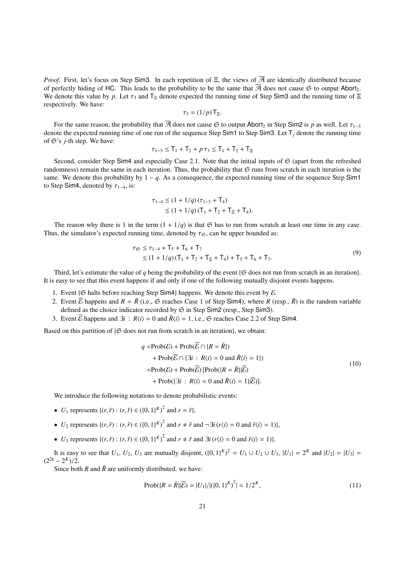*Proof.* First, let's focus on Step Sim3. In each repetition of Ξ, the views of  $\overline{A}$  are identically distributed because of perfectly hiding of HC. This leads to the probability to be the same that  $\overline{A}$  does not cause  $\Im$  to output Abort. We denote this value by *p*. Let  $\tau_3$  and  $T_5$  denote expected the running time of Step Sim3 and the running time of  $\Xi$ respectively. We have:

$$
\tau_3=(1/p)\mathsf{T}_{\Xi}.
$$

For the same reason, the probability that  $\overline{A}$  does not cause  $\overline{G}$  to output Abort<sub>2</sub> in Step Sim2 is *p* as well. Let  $\tau_{1-3}$  ore the expected running time of one run of the sequence Step Sim1 to Step Sim3. Let denote the expected running time of one run of the sequence Step Sim1 to Step Sim3. Let T*<sup>j</sup>* denote the running time of  $\mathfrak{S}'$ 's *j*-th step. We have:

$$
\tau_{1-3} \leq T_1 + T_2 + p \tau_3 \leq T_1 + T_2 + T_{\Xi}
$$

Second, consider Step Sim4 and especially Case 2.1. Note that the initial inputs of  $\mathfrak{S}$  (apart from the refreshed randomness) remain the same in each iteration. Thus, the probability that  $\mathfrak S$  runs from scratch in each iteration is the same. We denote this probability by  $1 - q$ . As a consequence, the expected running time of the sequence Step Sim1 to Step Sim4, denoted by  $\tau_{1-4}$ , is:

<span id="page-20-1"></span>
$$
\tau_{1-4} \le (1 + 1/q) (\tau_{1-3} + T_4)
$$
  
\n
$$
\le (1 + 1/q) (T_1 + T_2 + T_{\Xi} + T_4).
$$

The reason why there is 1 in the term  $(1 + 1/q)$  is that  $\mathfrak{S}$  has to run from scratch at least one time in any case. Thus, the simulator's expected running time, denoted by  $\tau_{\mathfrak{S}}$ , can be upper bounded as:

$$
\tau_{\mathfrak{S}} \leq \tau_{1-4} + T_5 + T_6 + T_7
$$
  
\n
$$
\leq (1 + 1/q)(T_1 + T_2 + T_{\Xi} + T_4) + T_5 + T_6 + T_7.
$$
\n(9)

Third, let's estimate the value of *q* being the probability of the event { $\mathfrak{S}$  does not run from scratch in an iteration}. It is easy to see that this event happens if and only if one of the following mutually disjoint events happens.

- 1. Event { $\Im$  halts before reaching Step Sim4} happens. We denote this event by  $\mathcal{E}$ .
- 2. Event  $\overline{E}$  happens and  $R = \overline{R}$  (i.e.,  $\overline{E}$  reaches Case 1 of Step Sim4), where *R* (resp.,  $\overline{R}$ ) is the random variable defined as the choice indicator recorded by  $\mathfrak S$  in Step Sim2 (resp., Step Sim3).
- 3. Event  $\overline{E}$  happens and  $\exists i : R\langle i \rangle = 0$  and  $\overline{R}\langle i \rangle = 1$ , i.e.,  $\Im$  reaches Case 2.2 of Step Sim4.

Based on this partition of  $\{\mathfrak{S} \text{ does not run from scratch in an iteration}\}\)$ , we obtain:

<span id="page-20-0"></span>
$$
q = \text{Prob}(\mathcal{E}) + \text{Prob}(\overline{\mathcal{E}} \cap \{R = \tilde{R}\})
$$
  
+ 
$$
\text{Prob}(\overline{\mathcal{E}} \cap \{\exists i : R\langle i \rangle = 0 \text{ and } \tilde{R}\langle i \rangle = 1\})
$$
  
= 
$$
\text{Prob}(\mathcal{E}) + \text{Prob}(\overline{\mathcal{E}}) [\text{Prob}(\{R = \tilde{R}\}]\overline{\mathcal{E}})
$$
  
+ 
$$
\text{Prob}(\{\exists i : R\langle i \rangle = 0 \text{ and } \tilde{R}\langle i \rangle = 1\}|\overline{\mathcal{E}})].
$$
 (10)

We introduce the following notations to denote probabilistic events:

- *U*<sub>1</sub> represents { $(r, \tilde{r}) : (r, \tilde{r}) \in (\{0, 1\}^K)^2$  and  $r = \tilde{r}$ },
- *U*<sub>2</sub> represents  $\{(r, \tilde{r}) : (r, \tilde{r}) \in (\{0, 1\}^K)^2 \text{ and } r \neq \tilde{r} \text{ and } \neg \exists i (r \langle i \rangle = 0 \text{ and } \tilde{r} \langle i \rangle = 1)\},\$
- $\bullet$  *U*<sub>3</sub> represents {(*r*,  $\tilde{r}$ ) : (*r*,  $\tilde{r}$ ) ∈ ({0, 1}<sup>*K*</sup>)<sup>2</sup> and *r* ≠  $\tilde{r}$  and  $\exists i$  (*r*(*i*) = 0 and  $\tilde{r}$ (*i*) = 1)}.

It is easy to see that  $U_1$ ,  $U_2$ ,  $U_3$  are mutually disjoint,  $({0, 1})^K)^2 = U_1 \cup U_2 \cup U_3$ ,  $|U_1| = 2^K$  and  $|U_2| = |U_3| = -2^K$  $\frac{(2^{2k} - 2^k)}{2}$ .<br>Since bot

Since both *R* and  $\tilde{R}$  are uniformly distributed, we have:

<span id="page-20-2"></span>
$$
Prob(\{R = \tilde{R}\}|\overline{\mathcal{E}}) = |U_1|/|\left(\{0, 1\}^K\right)^2| = 1/2^K,
$$
\n(11)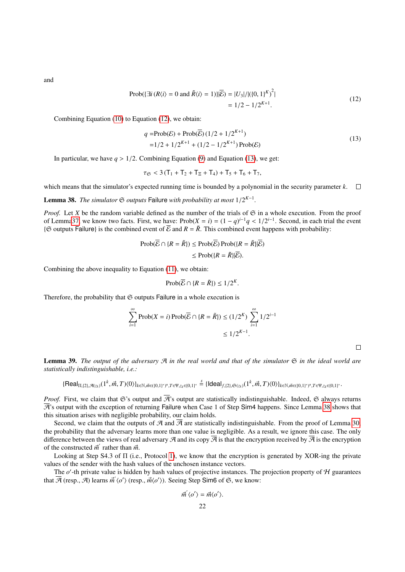<span id="page-21-1"></span>and

Prob(
$$
\exists i (R\langle i \rangle = 0 \text{ and } \tilde{R}\langle i \rangle = 1
$$
)) $|\overline{\mathcal{E}}| = |U_3|/|({0, 1)^K})^2|$   
= 1/2 - 1/2<sup>K+1</sup>. (12)

Combining Equation [\(10\)](#page-20-0) to Equation [\(12\)](#page-21-1), we obtain:

<span id="page-21-2"></span>
$$
q = \text{Prob}(\mathcal{E}) + \text{Prob}(\overline{\mathcal{E}}) (1/2 + 1/2^{K+1})
$$
  
= 1/2 + 1/2<sup>K+1</sup> + (1/2 – 1/2<sup>K+1</sup>) Prob( $\mathcal{E}$ ) (13)

In particular, we have  $q > 1/2$ . Combining Equation [\(9\)](#page-20-1) and Equation [\(13\)](#page-21-2), we get:

$$
\tau_{\mathfrak{S}} < 3\left(\mathsf{T}_{1} + \mathsf{T}_{2} + \mathsf{T}_{\Xi} + \mathsf{T}_{4}\right) + \mathsf{T}_{5} + \mathsf{T}_{6} + \mathsf{T}_{7},
$$

which means that the simulator's expected running time is bounded by a polynomial in the security parameter *k*.  $\Box$ 

<span id="page-21-3"></span>Lemma 38. *The simulator*  $\mathfrak{S}$  *outputs* Failure *with probability at most*  $1/2^{K-1}$ *.* 

*Proof.* Let *X* be the random variable defined as the number of the trials of  $\mathfrak{S}$  in a whole execution. From the proof of Lemm[a37,](#page-18-4) we know two facts. First, we have:  $\text{Prob}(X = i) = (1 - q)^{i-1}q < 1/2^{i-1}$ . Second, in each trial the event  $\theta$  contracts in the event of  $\overline{E}$  and  $R - \tilde{R}$ . This combined event happens with probability: { $\Im$  outputs Failure} is the combined event of  $\overline{E}$  and  $R = \overline{R}$ . This combined event happens with probability:

$$
\text{Prob}(\overline{\mathcal{E}} \cap \{R = \tilde{R}\}) \le \text{Prob}(\overline{\mathcal{E}}) \text{Prob}(\{R = \tilde{R}\}|\overline{\mathcal{E}})
$$

$$
\le \text{Prob}(\{R = \tilde{R}\}|\overline{\mathcal{E}}).
$$

Combining the above inequality to Equation [\(11\)](#page-20-2), we obtain:

$$
\text{Prob}(\overline{\mathcal{E}} \cap \{R = \tilde{R}\}) \le 1/2^K
$$

Therefore, the probability that  $\mathfrak S$  outputs Failure in a whole execution is

$$
\sum_{i=1}^{\infty} \text{Prob}(X = i) \text{Prob}(\overline{\mathcal{E}} \cap \{R = \tilde{R}\}) \le (1/2^{K}) \sum_{i=1}^{\infty} 1/2^{i-1}
$$

$$
\le 1/2^{K-1}.
$$

 $\Box$ 

<span id="page-21-0"></span>**Lemma 39.** The output of the adversary  $\mathcal{A}$  in the real world and that of the simulator  $\mathfrak{S}$  in the ideal world are *statistically indistinguishable, i.e.:*

 $\{\mathsf{Real}_{\Pi,\{2\},\mathcal{A}(z_k)}(1^k,\vec{m},T)\langle 0\rangle\}_{k\in\mathbb{N},\vec{m}\in(\{0,1\}^*)^n,T\in \Psi,z_k\in\{0,1\}^*}\overset{\mathcal{S}}{=} \{\mathsf{Ideal}_{f,\{2\},\mathfrak{S}(z_k)}(1^k,\vec{m},T)\langle 0\rangle\}_{k\in\mathbb{N},\vec{m}\in(\{0,1\}^*)^n,T\in \Psi,z_k\in\{0,1\}^*}.$ 

*Proof.* First, we claim that G's output and  $\overline{A}$ 's output are statistically indistinguishable. Indeed, G always returns  $\overline{A}$ 's output with the exception of returning Failure when Case 1 of Step Sim4 happens. Since Lemma [38](#page-21-3) shows that this situation arises with negligible probability, our claim holds.

Second, we claim that the outputs of A and  $\overline{A}$  are statistically indistinguishable. From the proof of Lemma [30,](#page-13-0) the probability that the adversary learns more than one value is negligible. As a result, we ignore this case. The only difference between the views of real adversary  $\mathcal A$  and its copy  $\overline{\mathcal A}$  is that the encryption received by  $\overline{\mathcal A}$  is the encryption of the constructed  $\vec{m}'$  rather than  $\vec{m}$ .<br>
I ooking at Step S4.3 of  $\Pi$  (i.e.

Looking at Step S4.3 of Π (i.e., Protocol [1\)](#page-12-0), we know that the encryption is generated by XOR-ing the private values of the sender with the hash values of the unchosen instance vectors.

The  $o'$ -th private value is hidden by hash values of projective instances. The projection property of  $H$  guarantees that  $\overline{\mathcal{A}}$  (resp.,  $\overline{\mathcal{A}}$ ) learns  $\vec{m}'(o')$  (resp.,  $\vec{m}\langle o' \rangle$ ). Seeing Step Sim6 of  $\mathfrak{S}$ , we know:

$$
\vec{m}'\langle o' \rangle = \vec{m}\langle o' \rangle.
$$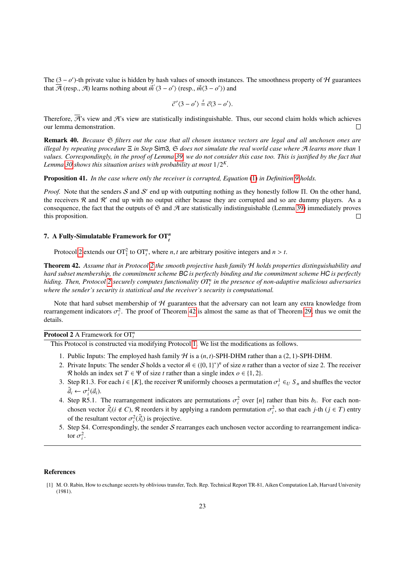The  $(3 - o')$ -th private value is hidden by hash values of smooth instances. The smoothness property of H guarantees that  $\overline{A}$  (resp.,  $\hat{A}$ ) learns nothing about  $\vec{m}'(3 - o')$  (resp.,  $\vec{m}(3 - o')$ ) and

$$
\vec{c}'\langle 3-o'\rangle \stackrel{s}{=} \vec{c}\langle 3-o'\rangle.
$$

Therefore,  $\overline{A}$ 's view and  $A$ 's view are statistically indistinguishable. Thus, our second claim holds which achieves our lemma demonstration.  $\Box$ 

<span id="page-22-2"></span>Remark 40. *Because* S *filters out the case that all chosen instance vectors are legal and all unchosen ones are illegal by repeating procedure* Ξ *in Step* Sim3*,* S *does not simulate the real world case where* A *learns more than* 1 *values. Correspondingly, in the proof of Lemma [39,](#page-21-0) we do not consider this case too. This is justified by the fact that Lemma [30](#page-13-0) shows this situation arises with probability at most* <sup>1</sup>/<sup>2</sup> *K .*

Proposition 41. *In the case where only the receiver is corrupted, Equation* [\(1\)](#page-6-1) *in Definition [9](#page-6-0) holds.*

*Proof.* Note that the senders S and S' end up with outputting nothing as they honestly follow Π. On the other hand, the receivers  $R$  and  $R'$  end up with no output either bcause they are corrupted and so are dummy players. As a consequence, the fact that the outputs of  $\mathfrak S$  and  $\mathfrak A$  are statistically indistinguishable (Lemma [39\)](#page-21-0) immediately proves this proposition.  $\Box$ 

# <span id="page-22-1"></span>7. A Fully-Simulatable Framework for OT*<sup>n</sup> t*

Protocol [2](#page-15-0) extends our  $\text{OT}_1^2$  to  $\text{OT}_t^n$ , where *n*, *t* are arbitrary positive integers and  $n > t$ .

<span id="page-22-3"></span>Theorem 42. *Assume that in Protocol [2](#page-15-0) the smooth projective hash family* H *holds properties distinguishability and hard subset membership, the commitment scheme* BC *is perfectly binding and the commitment scheme* HC *is perfectly hiding. Then, Protocol [2](#page-15-0) securely computes functionality OT<sup>n</sup> t in the presence of non-adaptive malicious adversaries where the sender's security is statistical and the receiver's security is computational.*

Note that hard subset membership of  $H$  guarantees that the adversary can not learn any extra knowledge from rearrangement indicators  $\sigma_i^2$ . The proof of Theorem [42](#page-22-3) is almost the same as that of Theorem [29,](#page-11-1) thus we omit the details details.

# Protocol 2 A Framework for OT*<sup>n</sup> t*

This Protocol is constructed via modifying Protocol [1.](#page-12-0) We list the modifications as follows.

- 1. Public Inputs: The employed hash family  $H$  is a  $(n, t)$ -SPH-DHM rather than a  $(2, 1)$ -SPH-DHM.
- 2. Private Inputs: The sender S holds a vector  $\vec{m} \in (\{0, 1\}^*)^n$  of size *n* rather than a vector of size 2. The receiver  $\Re$  holds an index set  $T \in \Psi$  of size *t* rather than a single index  $a \in \{1, 2\}$ R holds an index set  $T \in \Psi$  of size *t* rather than a single index  $o \in \{1, 2\}$ .
- 3. Step R1.3. For each  $i \in [K]$ , the receiver  $\mathcal R$  uniformly chooses a permutation  $\sigma_i^1 \in U S_n$  and shuffles the vector  $\tilde{\vec{a}}$   $\in \mathbb{R}^{1,2}$ .  $\tilde{\vec{a}}_i \leftarrow \sigma_i^1(\vec{a}_i).$ <br>Step **P5** 1
- 4. Step R5.1. The rearrangement indicators are permutations  $\sigma_i^2$  over [*n*] rather than bits  $b_i$ . For each non-<br>chasen vector  $\vec{x}$  (*i*, *d*, *C*)  $\phi$  resulting it by englying a gradom permutation  $\sigma_i^2$  so that s chosen vector  $\tilde{\vec{x}}_i(i \notin C)$ , R reorders it by applying a random permutation  $\sigma_i^2$ , so that each *j*-th (*j* ∈ *T*) entry of the resultant vector  $\sigma_i^2(\tilde{\vec{x}}_i)$  is projective.
- 5. Step S4. Correspondingly, the sender S rearranges each unchosen vector according to rearrangement indicator  $\sigma_i^2$ .

#### References

<span id="page-22-0"></span><sup>[1]</sup> M. O. Rabin, How to exchange secrets by oblivious transfer, Tech. Rep. Technical Report TR-81, Aiken Computation Lab, Harvard University (1981).